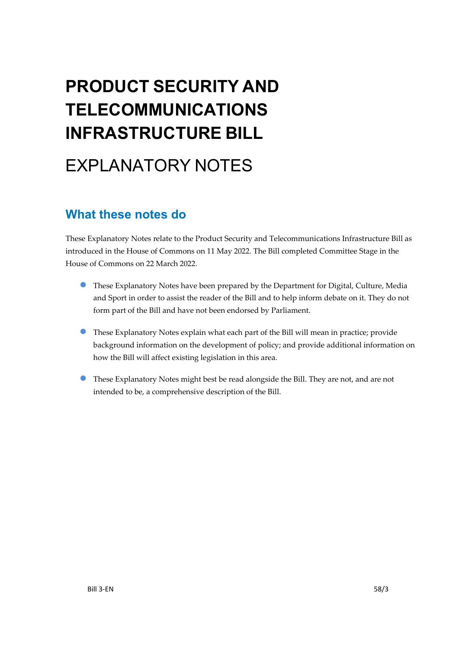# **PRODUCT SECURITY AND TELECOMMUNICATIONS INFRASTRUCTURE BILL**

# EXPLANATORY NOTES

## **What these notes do**

These Explanatory Notes relate to the Product Security and Telecommunications Infrastructure Bill as introduced in the House of Commons on 11 May 2022. The Bill completed Committee Stage in the House of Commons on 22 March 2022.

- These Explanatory Notes have been prepared by the Department for Digital, Culture, Media and Sport in order to assist the reader of the Bill and to help inform debate on it. They do not form part of the Bill and have not been endorsed by Parliament.
- These Explanatory Notes explain what each part of the Bill will mean in practice; provide background information on the development of policy; and provide additional information on how the Bill will affect existing legislation in this area.
- These Explanatory Notes might best be read alongside the Bill. They are not, and are not intended to be, a comprehensive description of the Bill.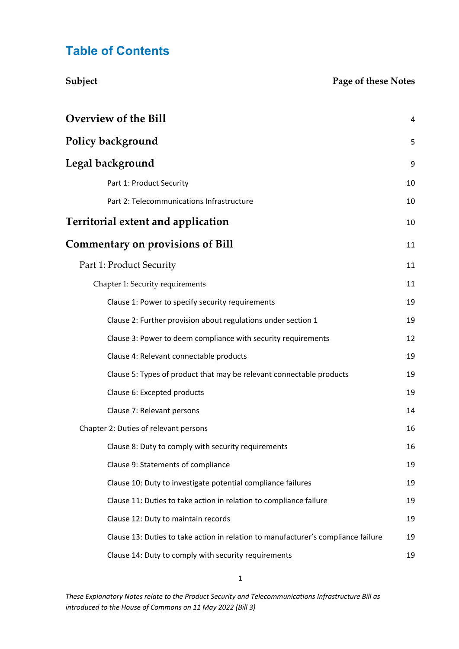## **Table of Contents**

| Subject                                                                           | Page of these Notes |
|-----------------------------------------------------------------------------------|---------------------|
| <b>Overview of the Bill</b>                                                       | 4                   |
| <b>Policy background</b>                                                          | 5                   |
| Legal background                                                                  | 9                   |
| Part 1: Product Security                                                          | 10                  |
| Part 2: Telecommunications Infrastructure                                         | 10                  |
| <b>Territorial extent and application</b>                                         | 10                  |
| <b>Commentary on provisions of Bill</b>                                           | 11                  |
| Part 1: Product Security                                                          | 11                  |
| Chapter 1: Security requirements                                                  | 11                  |
| Clause 1: Power to specify security requirements                                  | 19                  |
| Clause 2: Further provision about regulations under section 1                     | 19                  |
| Clause 3: Power to deem compliance with security requirements                     | 12                  |
| Clause 4: Relevant connectable products                                           | 19                  |
| Clause 5: Types of product that may be relevant connectable products              | 19                  |
| Clause 6: Excepted products                                                       | 19                  |
| Clause 7: Relevant persons                                                        | 14                  |
| Chapter 2: Duties of relevant persons                                             | 16                  |
| Clause 8: Duty to comply with security requirements                               | 16                  |
| Clause 9: Statements of compliance                                                | 19                  |
| Clause 10: Duty to investigate potential compliance failures                      | 19                  |
| Clause 11: Duties to take action in relation to compliance failure                | 19                  |
| Clause 12: Duty to maintain records                                               | 19                  |
| Clause 13: Duties to take action in relation to manufacturer's compliance failure | 19                  |
| Clause 14: Duty to comply with security requirements                              | 19                  |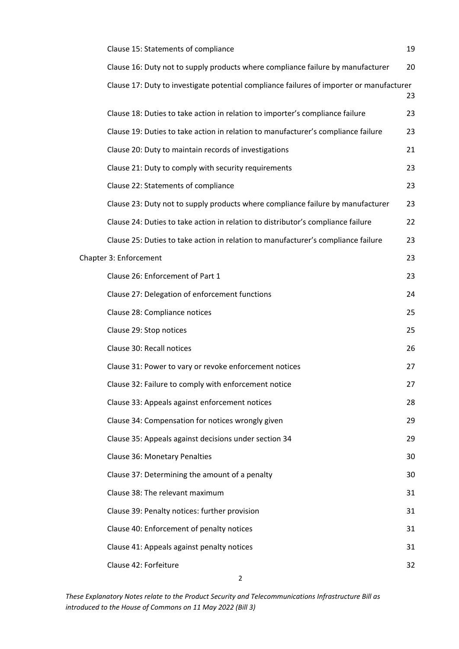| Clause 15: Statements of compliance                                                      | 19 |
|------------------------------------------------------------------------------------------|----|
| Clause 16: Duty not to supply products where compliance failure by manufacturer          | 20 |
| Clause 17: Duty to investigate potential compliance failures of importer or manufacturer | 23 |
| Clause 18: Duties to take action in relation to importer's compliance failure            | 23 |
| Clause 19: Duties to take action in relation to manufacturer's compliance failure        | 23 |
| Clause 20: Duty to maintain records of investigations                                    | 21 |
| Clause 21: Duty to comply with security requirements                                     | 23 |
| Clause 22: Statements of compliance                                                      | 23 |
| Clause 23: Duty not to supply products where compliance failure by manufacturer          | 23 |
| Clause 24: Duties to take action in relation to distributor's compliance failure         | 22 |
| Clause 25: Duties to take action in relation to manufacturer's compliance failure        | 23 |
| Chapter 3: Enforcement                                                                   | 23 |
| Clause 26: Enforcement of Part 1                                                         | 23 |
| Clause 27: Delegation of enforcement functions                                           | 24 |
| Clause 28: Compliance notices                                                            | 25 |
| Clause 29: Stop notices                                                                  | 25 |
| Clause 30: Recall notices                                                                | 26 |
| Clause 31: Power to vary or revoke enforcement notices                                   | 27 |
| Clause 32: Failure to comply with enforcement notice                                     | 27 |
| Clause 33: Appeals against enforcement notices                                           | 28 |
| Clause 34: Compensation for notices wrongly given                                        | 29 |
| Clause 35: Appeals against decisions under section 34                                    | 29 |
| Clause 36: Monetary Penalties                                                            | 30 |
| Clause 37: Determining the amount of a penalty                                           | 30 |
| Clause 38: The relevant maximum                                                          | 31 |
| Clause 39: Penalty notices: further provision                                            | 31 |
| Clause 40: Enforcement of penalty notices                                                | 31 |
| Clause 41: Appeals against penalty notices                                               | 31 |
| Clause 42: Forfeiture                                                                    | 32 |
| $\overline{2}$                                                                           |    |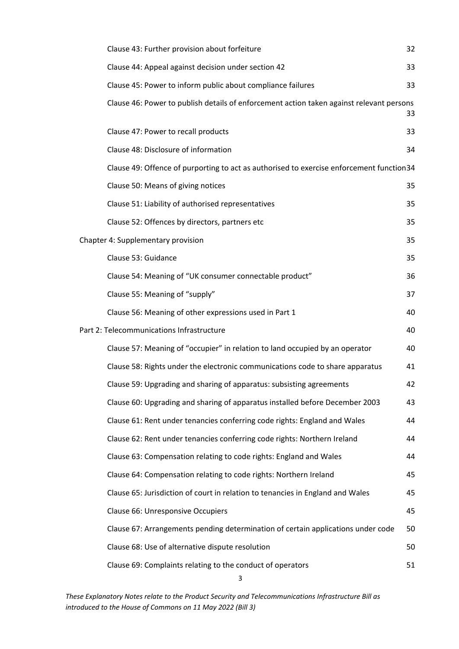| Clause 43: Further provision about forfeiture                                            | 32 |
|------------------------------------------------------------------------------------------|----|
| Clause 44: Appeal against decision under section 42                                      | 33 |
| Clause 45: Power to inform public about compliance failures                              | 33 |
| Clause 46: Power to publish details of enforcement action taken against relevant persons | 33 |
| Clause 47: Power to recall products                                                      | 33 |
| Clause 48: Disclosure of information                                                     | 34 |
| Clause 49: Offence of purporting to act as authorised to exercise enforcement function34 |    |
| Clause 50: Means of giving notices                                                       | 35 |
| Clause 51: Liability of authorised representatives                                       | 35 |
| Clause 52: Offences by directors, partners etc                                           | 35 |
| Chapter 4: Supplementary provision                                                       | 35 |
| Clause 53: Guidance                                                                      | 35 |
| Clause 54: Meaning of "UK consumer connectable product"                                  | 36 |
| Clause 55: Meaning of "supply"                                                           | 37 |
| Clause 56: Meaning of other expressions used in Part 1                                   | 40 |
| Part 2: Telecommunications Infrastructure                                                | 40 |
| Clause 57: Meaning of "occupier" in relation to land occupied by an operator             | 40 |
| Clause 58: Rights under the electronic communications code to share apparatus            | 41 |
| Clause 59: Upgrading and sharing of apparatus: subsisting agreements                     | 42 |
| Clause 60: Upgrading and sharing of apparatus installed before December 2003             | 43 |
| Clause 61: Rent under tenancies conferring code rights: England and Wales                | 44 |
| Clause 62: Rent under tenancies conferring code rights: Northern Ireland                 | 44 |
| Clause 63: Compensation relating to code rights: England and Wales                       | 44 |
| Clause 64: Compensation relating to code rights: Northern Ireland                        | 45 |
| Clause 65: Jurisdiction of court in relation to tenancies in England and Wales           | 45 |
| Clause 66: Unresponsive Occupiers                                                        | 45 |
| Clause 67: Arrangements pending determination of certain applications under code         | 50 |
| Clause 68: Use of alternative dispute resolution                                         | 50 |
| Clause 69: Complaints relating to the conduct of operators                               | 51 |
| 3                                                                                        |    |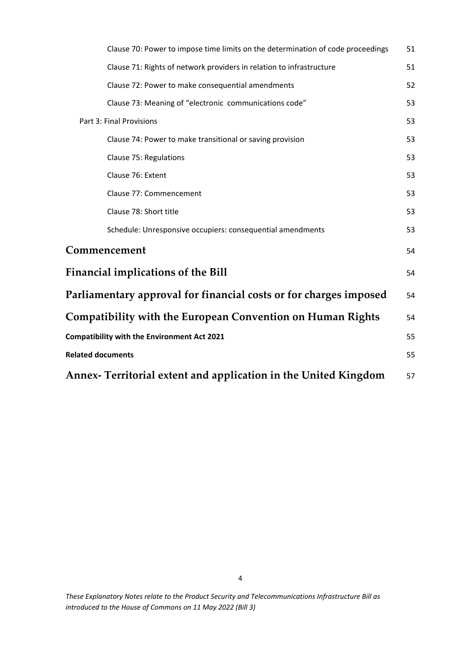<span id="page-4-0"></span>

| Clause 70: Power to impose time limits on the determination of code proceedings | 51 |
|---------------------------------------------------------------------------------|----|
| Clause 71: Rights of network providers in relation to infrastructure            | 51 |
| Clause 72: Power to make consequential amendments                               | 52 |
| Clause 73: Meaning of "electronic communications code"                          | 53 |
| Part 3: Final Provisions                                                        | 53 |
| Clause 74: Power to make transitional or saving provision                       | 53 |
| Clause 75: Regulations                                                          | 53 |
| Clause 76: Extent                                                               | 53 |
| Clause 77: Commencement                                                         | 53 |
| Clause 78: Short title                                                          | 53 |
| Schedule: Unresponsive occupiers: consequential amendments                      | 53 |
| Commencement                                                                    | 54 |
| <b>Financial implications of the Bill</b>                                       | 54 |
| Parliamentary approval for financial costs or for charges imposed               | 54 |
| <b>Compatibility with the European Convention on Human Rights</b>               | 54 |
| <b>Compatibility with the Environment Act 2021</b>                              | 55 |
| <b>Related documents</b>                                                        | 55 |
| Annex- Territorial extent and application in the United Kingdom                 | 57 |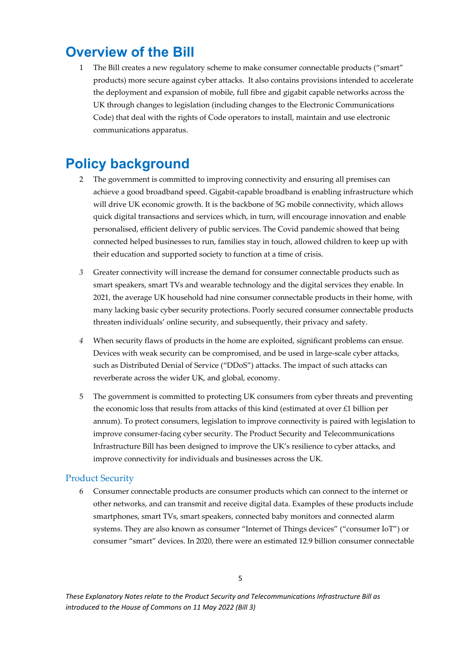## **Overview of the Bill**

1 The Bill creates a new regulatory scheme to make consumer connectable products ("smart" products) more secure against cyber attacks. It also contains provisions intended to accelerate the deployment and expansion of mobile, full fibre and gigabit capable networks across the UK through changes to legislation (including changes to the Electronic Communications Code) that deal with the rights of Code operators to install, maintain and use electronic communications apparatus.

## <span id="page-5-0"></span>**Policy background**

- 2 The government is committed to improving connectivity and ensuring all premises can achieve a good broadband speed. Gigabit-capable broadband is enabling infrastructure which will drive UK economic growth. It is the backbone of 5G mobile connectivity, which allows quick digital transactions and services which, in turn, will encourage innovation and enable personalised, efficient delivery of public services. The Covid pandemic showed that being connected helped businesses to run, families stay in touch, allowed children to keep up with their education and supported society to function at a time of crisis.
- *3* Greater connectivity will increase the demand for consumer connectable products such as smart speakers, smart TVs and wearable technology and the digital services they enable. In 2021, the average UK household had nine consumer connectable products in their home, with many lacking basic cyber security protections. Poorly secured consumer connectable products threaten individuals' online security, and subsequently, their privacy and safety.
- *4* When security flaws of products in the home are exploited, significant problems can ensue. Devices with weak security can be compromised, and be used in large-scale cyber attacks, such as Distributed Denial of Service ("DDoS") attacks. The impact of such attacks can reverberate across the wider UK, and global, economy.
- 5 The government is committed to protecting UK consumers from cyber threats and preventing the economic loss that results from attacks of this kind (estimated at over £1 billion per annum). To protect consumers, legislation to improve connectivity is paired with legislation to improve consumer-facing cyber security. The Product Security and Telecommunications Infrastructure Bill has been designed to improve the UK's resilience to cyber attacks, and improve connectivity for individuals and businesses across the UK.

### Product Security

6 Consumer connectable products are consumer products which can connect to the internet or other networks, and can transmit and receive digital data. Examples of these products include smartphones, smart TVs, smart speakers, connected baby monitors and connected alarm systems. They are also known as consumer "Internet of Things devices" ("consumer IoT") or consumer "smart" devices. In 2020, there were an estimated 12.9 billion consumer connectable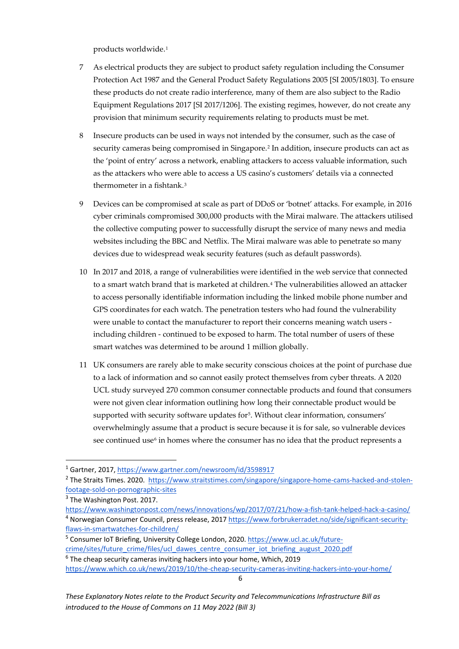products worldwide.[1](#page-6-0)

- 7 As electrical products they are subject to product safety regulation including the Consumer Protection Act 1987 and the General Product Safety Regulations 2005 [SI 2005/1803]. To ensure these products do not create radio interference, many of them are also subject to the Radio Equipment Regulations 2017 [SI 2017/1206]. The existing regimes, however, do not create any provision that minimum security requirements relating to products must be met.
- 8 Insecure products can be used in ways not intended by the consumer, such as the case of security cameras being compromised in Singapore.<sup>[2](#page-6-1)</sup> In addition, insecure products can act as the 'point of entry' across a network, enabling attackers to access valuable information, such as the attackers who were able to access a US casino's customers' details via a connected thermometer in a fishtank.[3](#page-6-2)
- 9 Devices can be compromised at scale as part of DDoS or 'botnet' attacks. For example, in 2016 cyber criminals compromised 300,000 products with the Mirai malware. The attackers utilised the collective computing power to successfully disrupt the service of many news and media websites including the BBC and Netflix. The Mirai malware was able to penetrate so many devices due to widespread weak security features (such as default passwords).
- 10 In 2017 and 2018, a range of vulnerabilities were identified in the web service that connected to a smart watch brand that is marketed at children.<sup>[4](#page-6-3)</sup> The vulnerabilities allowed an attacker to access personally identifiable information including the linked mobile phone number and GPS coordinates for each watch. The penetration testers who had found the vulnerability were unable to contact the manufacturer to report their concerns meaning watch users including children - continued to be exposed to harm. The total number of users of these smart watches was determined to be around 1 million globally.
- 11 UK consumers are rarely able to make security conscious choices at the point of purchase due to a lack of information and so cannot easily protect themselves from cyber threats. A 2020 UCL study surveyed 270 common consumer connectable products and found that consumers were not given clear information outlining how long their connectable product would be supported with security software updates for<sup>[5](#page-6-4)</sup>. Without clear information, consumers' overwhelmingly assume that a product is secure because it is for sale, so vulnerable devices see continued use $6$  in homes where the consumer has no idea that the product represents a

<span id="page-6-0"></span><sup>1</sup> Gartner, 2017[, https://www.gartner.com/newsroom/id/3598917](https://www.gartner.com/newsroom/id/3598917)

<span id="page-6-1"></span><sup>&</sup>lt;sup>2</sup> The Straits Times. 2020. [https://www.straitstimes.com/singapore/singapore-home-cams-hacked-and-stolen](https://www.straitstimes.com/singapore/singapore-home-cams-hacked-and-stolen-footage-sold-on-pornographic-sites)[footage-sold-on-pornographic-sites](https://www.straitstimes.com/singapore/singapore-home-cams-hacked-and-stolen-footage-sold-on-pornographic-sites) <sup>3</sup> The Washington Post. 2017.

<span id="page-6-2"></span>

<span id="page-6-3"></span>https://www.washingtonpost.com/news/innovations/wp/2017/07/21/how-a-fish-tank-helped-hack-a-casino/<br><sup>4</sup> Norwegian Consumer Council, press release, 201[7 https://www.forbrukerradet.no/side/significant-security](https://www.forbrukerradet.no/side/significant-security-flaws-in-smartwatches-for-children/)[flaws-in-smartwatches-for-children/](https://www.forbrukerradet.no/side/significant-security-flaws-in-smartwatches-for-children/)

<span id="page-6-4"></span><sup>&</sup>lt;sup>5</sup> Consumer IoT Briefing, University College London, 2020[. https://www.ucl.ac.uk/future](https://www.ucl.ac.uk/future-crime/sites/future_crime/files/ucl_dawes_centre_consumer_iot_briefing_august_2020.pdf)[crime/sites/future\\_crime/files/ucl\\_dawes\\_centre\\_consumer\\_iot\\_briefing\\_august\\_2020.pdf](https://www.ucl.ac.uk/future-crime/sites/future_crime/files/ucl_dawes_centre_consumer_iot_briefing_august_2020.pdf) 6 The cheap security cameras inviting hackers into your home, Which, 2019

<span id="page-6-5"></span><sup>6</sup> <https://www.which.co.uk/news/2019/10/the-cheap-security-cameras-inviting-hackers-into-your-home/>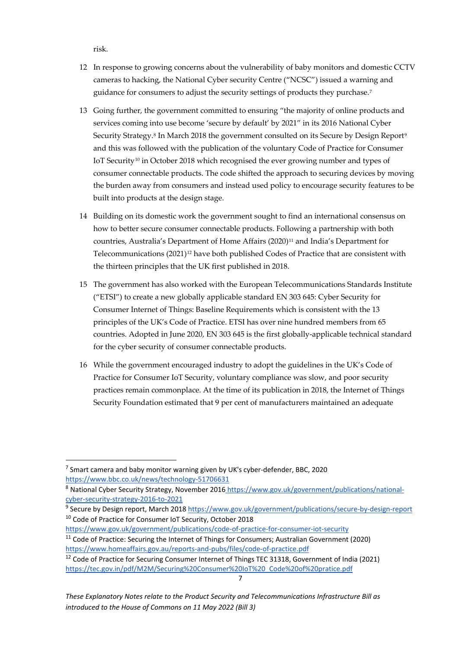risk.

- 12 In response to growing concerns about the vulnerability of baby monitors and domestic CCTV cameras to hacking, the National Cyber security Centre ("NCSC") issued a warning and guidance for consumers to adjust the security settings of products they purchase.[7](#page-7-0)
- 13 Going further, the government committed to ensuring "the majority of online products and services coming into use become 'secure by default' by 2021" in its 2016 National Cyber Security Strategy.<sup>[8](#page-7-1)</sup> In March 2018 the government consulted on its Secure by Design Report<sup>[9](#page-7-2)</sup> and this was followed with the publication of the voluntary Code of Practice for Consumer IoT Security<sup>[10](#page-7-3)</sup> in October 2018 which recognised the ever growing number and types of consumer connectable products. The code shifted the approach to securing devices by moving the burden away from consumers and instead used policy to encourage security features to be built into products at the design stage.
- 14 Building on its domestic work the government sought to find an international consensus on how to better secure consumer connectable products. Following a partnership with both countries, Australia's Department of Home Affairs (2020)<sup>[11](#page-7-4)</sup> and India's Department for Telecommunications  $(2021)^{12}$  $(2021)^{12}$  $(2021)^{12}$  have both published Codes of Practice that are consistent with the thirteen principles that the UK first published in 2018.
- 15 The government has also worked with the European Telecommunications Standards Institute ("ETSI") to create a new globally applicable standard EN 303 645: Cyber Security for Consumer Internet of Things: Baseline Requirements which is consistent with the 13 principles of the UK's Code of Practice. ETSI has over nine hundred members from 65 countries. Adopted in June 2020, EN 303 645 is the first globally-applicable technical standard for the cyber security of consumer connectable products.
- 16 While the government encouraged industry to adopt the guidelines in the UK's Code of Practice for Consumer IoT Security, voluntary compliance was slow, and poor security practices remain commonplace. At the time of its publication in 2018, the Internet of Things Security Foundation estimated that 9 per cent of manufacturers maintained an adequate

<span id="page-7-0"></span> $<sup>7</sup>$  Smart camera and baby monitor warning given by UK's cyber-defender, BBC, 2020</sup> <https://www.bbc.co.uk/news/technology-51706631>

<span id="page-7-1"></span><sup>&</sup>lt;sup>8</sup> National Cyber Security Strategy, November 2016 [https://www.gov.uk/government/publications/national](https://www.gov.uk/government/publications/national-cyber-security-strategy-2016-to-2021)[cyber-security-strategy-2016-to-2021](https://www.gov.uk/government/publications/national-cyber-security-strategy-2016-to-2021)

<span id="page-7-2"></span><sup>&</sup>lt;sup>9</sup> Secure by Design report, March 2018<https://www.gov.uk/government/publications/secure-by-design-report> <sup>10</sup> Code of Practice for Consumer IoT Security, October 2018

<span id="page-7-4"></span><span id="page-7-3"></span><https://www.gov.uk/government/publications/code-of-practice-for-consumer-iot-security> <sup>11</sup> Code of Practice: Securing the Internet of Things for Consumers; Australian Government (2020)

<span id="page-7-5"></span>https://www.homeaffairs.gov.au/reports-and-pubs/files/code-of-practice.pdf<br><sup>12</sup> Code of Practice for Securing Consumer Internet of Things TEC 31318, Government of India (2021) [https://tec.gov.in/pdf/M2M/Securing%20Consumer%20IoT%20\\_Code%20of%20pratice.pdf](https://tec.gov.in/pdf/M2M/Securing%20Consumer%20IoT%20_Code%20of%20pratice.pdf)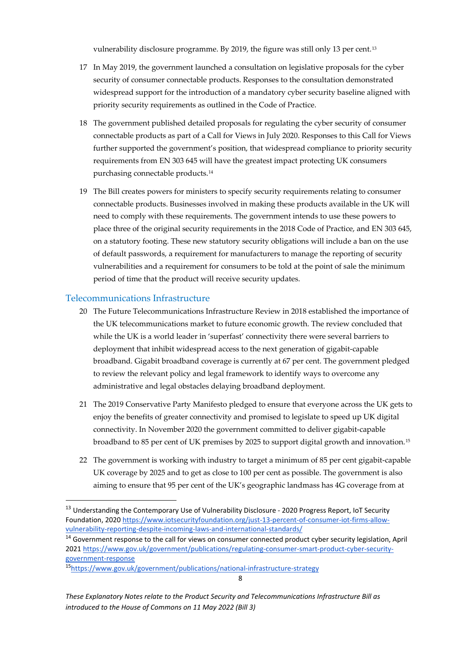vulnerability disclosure programme. By 2019, the figure was still only 13 per cent.[13](#page-8-0)

- 17 In May 2019, the government launched a consultation on legislative proposals for the cyber security of consumer connectable products. Responses to the consultation demonstrated widespread support for the introduction of a mandatory cyber security baseline aligned with priority security requirements as outlined in the Code of Practice.
- 18 The government published detailed proposals for regulating the cyber security of consumer connectable products as part of a Call for Views in July 2020. Responses to this Call for Views further supported the government's position, that widespread compliance to priority security requirements from EN 303 645 will have the greatest impact protecting UK consumers purchasing connectable products.[14](#page-8-1)
- 19 The Bill creates powers for ministers to specify security requirements relating to consumer connectable products. Businesses involved in making these products available in the UK will need to comply with these requirements. The government intends to use these powers to place three of the original security requirements in the 2018 Code of Practice, and EN 303 645, on a statutory footing. These new statutory security obligations will include a ban on the use of default passwords, a requirement for manufacturers to manage the reporting of security vulnerabilities and a requirement for consumers to be told at the point of sale the minimum period of time that the product will receive security updates.

#### Telecommunications Infrastructure

- 20 The Future Telecommunications Infrastructure Review in 2018 established the importance of the UK telecommunications market to future economic growth. The review concluded that while the UK is a world leader in 'superfast' connectivity there were several barriers to deployment that inhibit widespread access to the next generation of gigabit-capable broadband. Gigabit broadband coverage is currently at 67 per cent. The government pledged to review the relevant policy and legal framework to identify ways to overcome any administrative and legal obstacles delaying broadband deployment.
- 21 The 2019 Conservative Party Manifesto pledged to ensure that everyone across the UK gets to enjoy the benefits of greater connectivity and promised to legislate to speed up UK digital connectivity. In November 2020 the government committed to deliver gigabit-capable broadband to 85 per cent of UK premises by 2025 to support digital growth and innovation.[15](#page-8-2)
- 22 The government is working with industry to target a minimum of 85 per cent gigabit-capable UK coverage by 2025 and to get as close to 100 per cent as possible. The government is also aiming to ensure that 95 per cent of the UK's geographic landmass has 4G coverage from at

<span id="page-8-0"></span><sup>&</sup>lt;sup>13</sup> Understanding the Contemporary Use of Vulnerability Disclosure - 2020 Progress Report, IoT Security Foundation, 2020 [https://www.iotsecurityfoundation.org/just-13-percent-of-consumer-iot-firms-allow](https://www.iotsecurityfoundation.org/just-13-percent-of-consumer-iot-firms-allow-vulnerability-reporting-despite-incoming-laws-and-international-standards/)[vulnerability-reporting-despite-incoming-laws-and-international-standards/](https://www.iotsecurityfoundation.org/just-13-percent-of-consumer-iot-firms-allow-vulnerability-reporting-despite-incoming-laws-and-international-standards/)

<span id="page-8-1"></span><sup>&</sup>lt;sup>14</sup> Government response to the call for views on consumer connected product cyber security legislation, April 202[1 https://www.gov.uk/government/publications/regulating-consumer-smart-product-cyber-security](https://www.gov.uk/government/publications/regulating-consumer-smart-product-cyber-security-government-response)[government-response](https://www.gov.uk/government/publications/regulating-consumer-smart-product-cyber-security-government-response)

<span id="page-8-2"></span><sup>1</sup>[5https://www.gov.uk/government/publications/national-infrastructure-strategy](https://www.gov.uk/government/publications/national-infrastructure-strategy)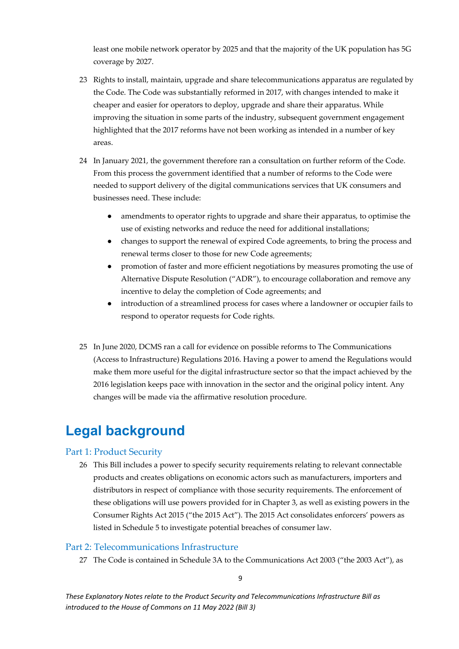least one mobile network operator by 2025 and that the majority of the UK population has 5G coverage by 2027.

- 23 Rights to install, maintain, upgrade and share telecommunications apparatus are regulated by the Code. The Code was substantially reformed in 2017, with changes intended to make it cheaper and easier for operators to deploy, upgrade and share their apparatus. While improving the situation in some parts of the industry, subsequent government engagement highlighted that the 2017 reforms have not been working as intended in a number of key areas.
- 24 In January 2021, the government therefore ran a consultation on further reform of the Code. From this process the government identified that a number of reforms to the Code were needed to support delivery of the digital communications services that UK consumers and businesses need. These include:
	- amendments to operator rights to upgrade and share their apparatus, to optimise the use of existing networks and reduce the need for additional installations;
	- changes to support the renewal of expired Code agreements, to bring the process and renewal terms closer to those for new Code agreements;
	- promotion of faster and more efficient negotiations by measures promoting the use of Alternative Dispute Resolution ("ADR"), to encourage collaboration and remove any incentive to delay the completion of Code agreements; and
	- introduction of a streamlined process for cases where a landowner or occupier fails to respond to operator requests for Code rights.
- 25 In June 2020, DCMS ran a call for evidence on possible reforms to The Communications (Access to Infrastructure) Regulations 2016. Having a power to amend the Regulations would make them more useful for the digital infrastructure sector so that the impact achieved by the 2016 legislation keeps pace with innovation in the sector and the original policy intent. Any changes will be made via the affirmative resolution procedure.

## <span id="page-9-0"></span>**Legal background**

#### Part 1: Product Security

26 This Bill includes a power to specify security requirements relating to relevant connectable products and creates obligations on economic actors such as manufacturers, importers and distributors in respect of compliance with those security requirements. The enforcement of these obligations will use powers provided for in Chapter 3, as well as existing powers in the Consumer Rights Act 2015 ("the 2015 Act"). The 2015 Act consolidates enforcers' powers as listed in Schedule 5 to investigate potential breaches of consumer law.

#### Part 2: Telecommunications Infrastructure

27 The Code is contained in Schedule 3A to the Communications Act 2003 ("the 2003 Act"), as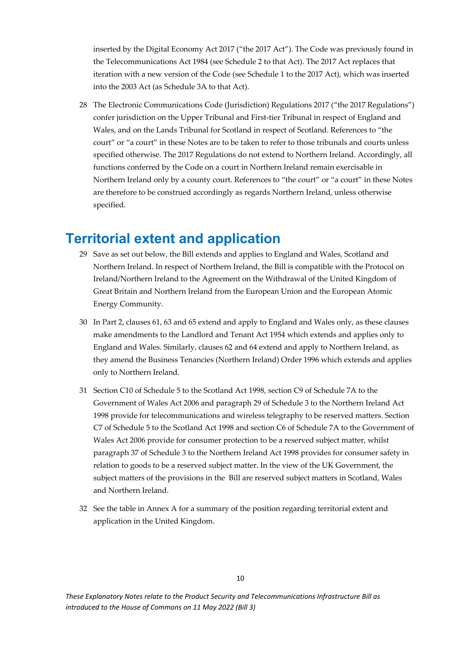inserted by the Digital Economy Act 2017 ("the 2017 Act"). The Code was previously found in the Telecommunications Act 1984 (see Schedule 2 to that Act). The 2017 Act replaces that iteration with a new version of the Code (see Schedule 1 to the 2017 Act), which was inserted into the 2003 Act (as Schedule 3A to that Act).

<span id="page-10-0"></span>28 The Electronic Communications Code (Jurisdiction) Regulations 2017 ("the 2017 Regulations") confer jurisdiction on the Upper Tribunal and First-tier Tribunal in respect of England and Wales, and on the Lands Tribunal for Scotland in respect of Scotland. References to "the court" or "a court" in these Notes are to be taken to refer to those tribunals and courts unless specified otherwise. The 2017 Regulations do not extend to Northern Ireland. Accordingly, all functions conferred by the Code on a court in Northern Ireland remain exercisable in Northern Ireland only by a county court. References to "the court" or "a court" in these Notes are therefore to be construed accordingly as regards Northern Ireland, unless otherwise specified.

## <span id="page-10-1"></span>**Territorial extent and application**

- 29 Save as set out below, the Bill extends and applies to England and Wales, Scotland and Northern Ireland. In respect of Northern Ireland, the Bill is compatible with the Protocol on Ireland/Northern Ireland to the Agreement on the Withdrawal of the United Kingdom of Great Britain and Northern Ireland from the European Union and the European Atomic Energy Community.
- 30 In Part 2, clauses 61, 63 and 65 extend and apply to England and Wales only, as these clauses make amendments to the Landlord and Tenant Act 1954 which extends and applies only to England and Wales. Similarly, clauses 62 and 64 extend and apply to Northern Ireland, as they amend the Business Tenancies (Northern Ireland) Order 1996 which extends and applies only to Northern Ireland.
- 31 Section C10 of Schedule 5 to the Scotland Act 1998, section C9 of Schedule 7A to the Government of Wales Act 2006 and paragraph 29 of Schedule 3 to the Northern Ireland Act 1998 provide for telecommunications and wireless telegraphy to be reserved matters. Section C7 of Schedule 5 to the Scotland Act 1998 and section C6 of Schedule 7A to the Government of Wales Act 2006 provide for consumer protection to be a reserved subject matter, whilst paragraph 37 of Schedule 3 to the Northern Ireland Act 1998 provides for consumer safety in relation to goods to be a reserved subject matter. In the view of the UK Government, the subject matters of the provisions in the Bill are reserved subject matters in Scotland, Wales and Northern Ireland.
- 32 See the table in Annex A for a summary of the position regarding territorial extent and application in the United Kingdom.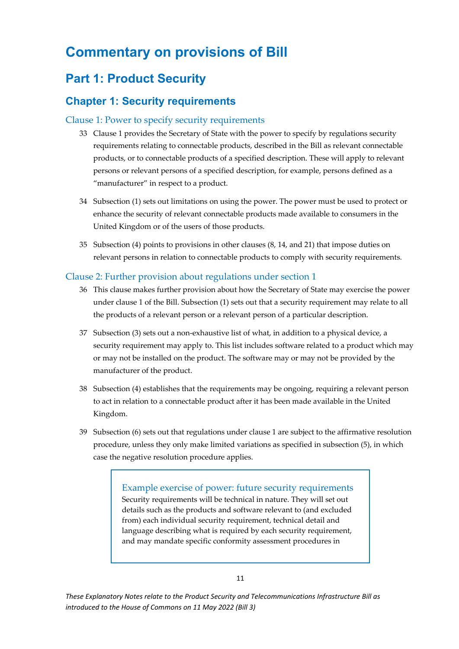## <span id="page-11-0"></span>**Commentary on provisions of Bill**

## <span id="page-11-1"></span>**Part 1: Product Security**

### <span id="page-11-2"></span>**Chapter 1: Security requirements**

#### Clause 1: Power to specify security requirements

- 33 Clause 1 provides the Secretary of State with the power to specify by regulations security requirements relating to connectable products, described in the Bill as relevant connectable products, or to connectable products of a specified description. These will apply to relevant persons or relevant persons of a specified description, for example, persons defined as a "manufacturer" in respect to a product.
- 34 Subsection (1) sets out limitations on using the power. The power must be used to protect or enhance the security of relevant connectable products made available to consumers in the United Kingdom or of the users of those products.
- 35 Subsection (4) points to provisions in other clauses (8, 14, and 21) that impose duties on relevant persons in relation to connectable products to comply with security requirements.

#### Clause 2: Further provision about regulations under section 1

- 36 This clause makes further provision about how the Secretary of State may exercise the power under clause 1 of the Bill. Subsection (1) sets out that a security requirement may relate to all the products of a relevant person or a relevant person of a particular description.
- 37 Subsection (3) sets out a non-exhaustive list of what, in addition to a physical device, a security requirement may apply to. This list includes software related to a product which may or may not be installed on the product. The software may or may not be provided by the manufacturer of the product.
- 38 Subsection (4) establishes that the requirements may be ongoing, requiring a relevant person to act in relation to a connectable product after it has been made available in the United Kingdom.
- 39 Subsection (6) sets out that regulations under clause 1 are subject to the affirmative resolution procedure, unless they only make limited variations as specified in subsection (5), in which case the negative resolution procedure applies.

Example exercise of power: future security requirements Security requirements will be technical in nature. They will set out details such as the products and software relevant to (and excluded from) each individual security requirement, technical detail and language describing what is required by each security requirement, and may mandate specific conformity assessment procedures in

*These Explanatory Notes relate to the Product Security and Telecommunications Infrastructure Bill as introduced to the House of Commons on 11 May 2022 (Bill 3)*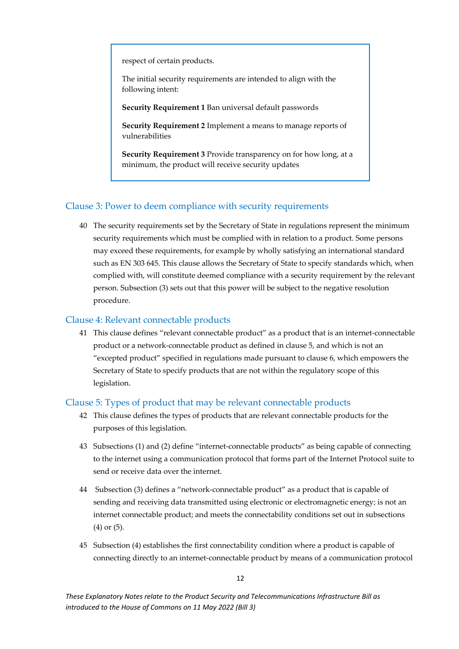respect of certain products.

The initial security requirements are intended to align with the following intent:

**Security Requirement 1** Ban universal default passwords

**Security Requirement 2** Implement a means to manage reports of vulnerabilities

**Security Requirement 3** Provide transparency on for how long, at a minimum, the product will receive security updates

#### <span id="page-12-0"></span>Clause 3: Power to deem compliance with security requirements

40 The security requirements set by the Secretary of State in regulations represent the minimum security requirements which must be complied with in relation to a product. Some persons may exceed these requirements, for example by wholly satisfying an international standard such as EN 303 645. This clause allows the Secretary of State to specify standards which, when complied with, will constitute deemed compliance with a security requirement by the relevant person. Subsection (3) sets out that this power will be subject to the negative resolution procedure.

#### Clause 4: Relevant connectable products

41 This clause defines "relevant connectable product" as a product that is an internet-connectable product or a network-connectable product as defined in clause 5, and which is not an "excepted product" specified in regulations made pursuant to clause 6, which empowers the Secretary of State to specify products that are not within the regulatory scope of this legislation.

#### Clause 5: Types of product that may be relevant connectable products

- 42 This clause defines the types of products that are relevant connectable products for the purposes of this legislation.
- 43 Subsections (1) and (2) define "internet-connectable products" as being capable of connecting to the internet using a communication protocol that forms part of the Internet Protocol suite to send or receive data over the internet.
- 44 Subsection (3) defines a "network-connectable product" as a product that is capable of sending and receiving data transmitted using electronic or electromagnetic energy; is not an internet connectable product; and meets the connectability conditions set out in subsections (4) or (5).
- 45 Subsection (4) establishes the first connectability condition where a product is capable of connecting directly to an internet-connectable product by means of a communication protocol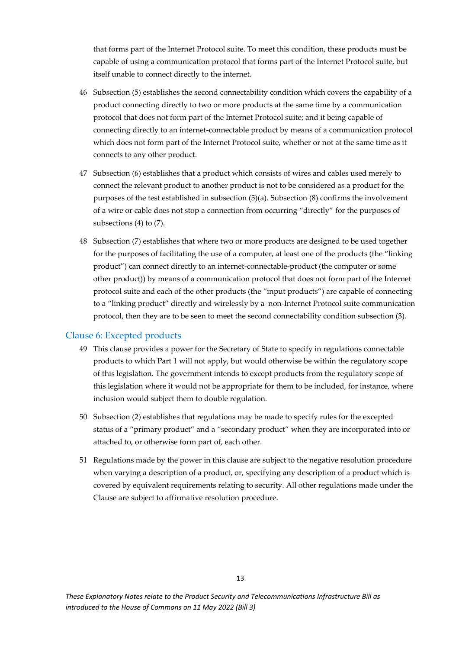that forms part of the Internet Protocol suite. To meet this condition, these products must be capable of using a communication protocol that forms part of the Internet Protocol suite, but itself unable to connect directly to the internet.

- 46 Subsection (5) establishes the second connectability condition which covers the capability of a product connecting directly to two or more products at the same time by a communication protocol that does not form part of the Internet Protocol suite; and it being capable of connecting directly to an internet-connectable product by means of a communication protocol which does not form part of the Internet Protocol suite, whether or not at the same time as it connects to any other product.
- 47 Subsection (6) establishes that a product which consists of wires and cables used merely to connect the relevant product to another product is not to be considered as a product for the purposes of the test established in subsection (5)(a). Subsection (8) confirms the involvement of a wire or cable does not stop a connection from occurring "directly" for the purposes of subsections (4) to (7).
- 48 Subsection (7) establishes that where two or more products are designed to be used together for the purposes of facilitating the use of a computer, at least one of the products (the "linking product") can connect directly to an internet-connectable-product (the computer or some other product)) by means of a communication protocol that does not form part of the Internet protocol suite and each of the other products (the "input products") are capable of connecting to a "linking product" directly and wirelessly by a non-Internet Protocol suite communication protocol, then they are to be seen to meet the second connectability condition subsection (3).

#### Clause 6: Excepted products

- 49 This clause provides a power for the Secretary of State to specify in regulations connectable products to which Part 1 will not apply, but would otherwise be within the regulatory scope of this legislation. The government intends to except products from the regulatory scope of this legislation where it would not be appropriate for them to be included, for instance, where inclusion would subject them to double regulation.
- 50 Subsection (2) establishes that regulations may be made to specify rules for the excepted status of a "primary product" and a "secondary product" when they are incorporated into or attached to, or otherwise form part of, each other.
- 51 Regulations made by the power in this clause are subject to the negative resolution procedure when varying a description of a product, or, specifying any description of a product which is covered by equivalent requirements relating to security. All other regulations made under the Clause are subject to affirmative resolution procedure.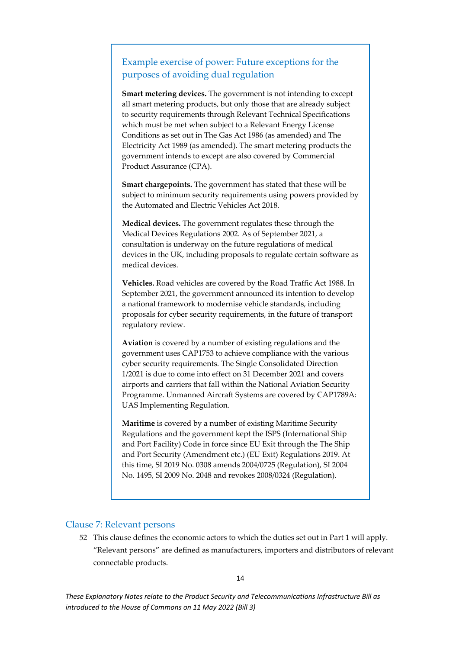### Example exercise of power: Future exceptions for the purposes of avoiding dual regulation

**Smart metering devices.** The government is not intending to except all smart metering products, but only those that are already subject to security requirements through Relevant Technical Specifications which must be met when subject to a Relevant Energy License Conditions as set out in The Gas Act 1986 (as amended) and The Electricity Act 1989 (as amended). The smart metering products the government intends to except are also covered by Commercial Product Assurance (CPA).

**Smart chargepoints.** The government has stated that these will be subject to minimum security requirements using powers provided by the Automated and Electric Vehicles Act 2018.

**Medical devices.** The government regulates these through the Medical Devices Regulations 2002. As of September 2021, a consultation is underway on the future regulations of medical devices in the UK, including proposals to regulate certain software as medical devices.

**Vehicles.** Road vehicles are covered by the Road Traffic Act 1988. In September 2021, the government announced its intention to develop a national framework to modernise vehicle standards, including proposals for cyber security requirements, in the future of transport regulatory review.

**Aviation** is covered by a number of existing regulations and the government uses CAP1753 to achieve compliance with the various cyber security requirements. The Single Consolidated Direction 1/2021 is due to come into effect on 31 December 2021 and covers airports and carriers that fall within the National Aviation Security Programme. Unmanned Aircraft Systems are covered by CAP1789A: UAS Implementing Regulation.

**Maritime** is covered by a number of existing Maritime Security Regulations and the government kept the ISPS (International Ship and Port Facility) Code in force since EU Exit through the The Ship and Port Security (Amendment etc.) (EU Exit) Regulations 2019. At this time, SI 2019 No. 0308 amends 2004/0725 (Regulation), SI 2004 No. 1495, SI 2009 No. 2048 and revokes 2008/0324 (Regulation).

#### <span id="page-14-0"></span>Clause 7: Relevant persons

52 This clause defines the economic actors to which the duties set out in Part 1 will apply. "Relevant persons" are defined as manufacturers, importers and distributors of relevant connectable products.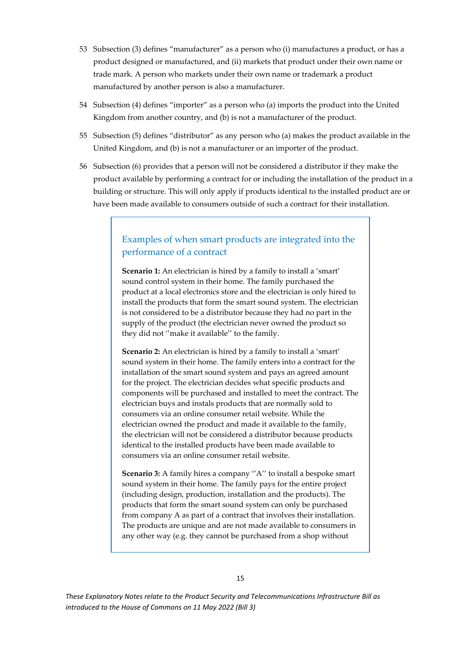- 53 Subsection (3) defines "manufacturer" as a person who (i) manufactures a product, or has a product designed or manufactured, and (ii) markets that product under their own name or trade mark. A person who markets under their own name or trademark a product manufactured by another person is also a manufacturer.
- 54 Subsection (4) defines "importer" as a person who (a) imports the product into the United Kingdom from another country, and (b) is not a manufacturer of the product.
- 55 Subsection (5) defines "distributor" as any person who (a) makes the product available in the United Kingdom, and (b) is not a manufacturer or an importer of the product.
- 56 Subsection (6) provides that a person will not be considered a distributor if they make the product available by performing a contract for or including the installation of the product in a building or structure. This will only apply if products identical to the installed product are or have been made available to consumers outside of such a contract for their installation.

### Examples of when smart products are integrated into the performance of a contract

**Scenario 1:** An electrician is hired by a family to install a 'smart' sound control system in their home. The family purchased the product at a local electronics store and the electrician is only hired to install the products that form the smart sound system. The electrician is not considered to be a distributor because they had no part in the supply of the product (the electrician never owned the product so they did not ''make it available'' to the family.

**Scenario 2:** An electrician is hired by a family to install a 'smart' sound system in their home. The family enters into a contract for the installation of the smart sound system and pays an agreed amount for the project. The electrician decides what specific products and components will be purchased and installed to meet the contract. The electrician buys and instals products that are normally sold to consumers via an online consumer retail website. While the electrician owned the product and made it available to the family, the electrician will not be considered a distributor because products identical to the installed products have been made available to consumers via an online consumer retail website.

**Scenario 3:** A family hires a company ''A'' to install a bespoke smart sound system in their home. The family pays for the entire project (including design, production, installation and the products). The products that form the smart sound system can only be purchased from company A as part of a contract that involves their installation. The products are unique and are not made available to consumers in any other way (e.g. they cannot be purchased from a shop without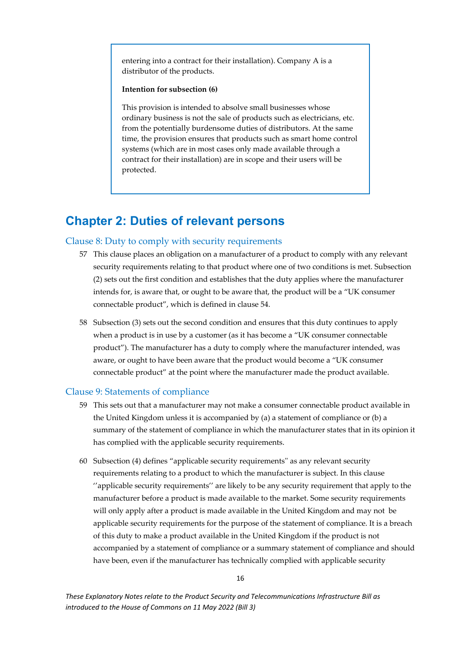entering into a contract for their installation). Company A is a distributor of the products.

#### **Intention for subsection (6)**

This provision is intended to absolve small businesses whose ordinary business is not the sale of products such as electricians, etc. from the potentially burdensome duties of distributors. At the same time, the provision ensures that products such as smart home control systems (which are in most cases only made available through a contract for their installation) are in scope and their users will be protected.

## <span id="page-16-0"></span>**Chapter 2: Duties of relevant persons**

#### <span id="page-16-1"></span>Clause 8: Duty to comply with security requirements

- 57 This clause places an obligation on a manufacturer of a product to comply with any relevant security requirements relating to that product where one of two conditions is met. Subsection (2) sets out the first condition and establishes that the duty applies where the manufacturer intends for, is aware that, or ought to be aware that, the product will be a "UK consumer connectable product", which is defined in clause 54.
- 58 Subsection (3) sets out the second condition and ensures that this duty continues to apply when a product is in use by a customer (as it has become a "UK consumer connectable product"). The manufacturer has a duty to comply where the manufacturer intended, was aware, or ought to have been aware that the product would become a "UK consumer connectable product" at the point where the manufacturer made the product available.

#### Clause 9: Statements of compliance

- 59 This sets out that a manufacturer may not make a consumer connectable product available in the United Kingdom unless it is accompanied by (a) a statement of compliance or (b) a summary of the statement of compliance in which the manufacturer states that in its opinion it has complied with the applicable security requirements.
- 60 Subsection (4) defines "applicable security requirements'' as any relevant security requirements relating to a product to which the manufacturer is subject. In this clause ''applicable security requirements'' are likely to be any security requirement that apply to the manufacturer before a product is made available to the market. Some security requirements will only apply after a product is made available in the United Kingdom and may not be applicable security requirements for the purpose of the statement of compliance. It is a breach of this duty to make a product available in the United Kingdom if the product is not accompanied by a statement of compliance or a summary statement of compliance and should have been, even if the manufacturer has technically complied with applicable security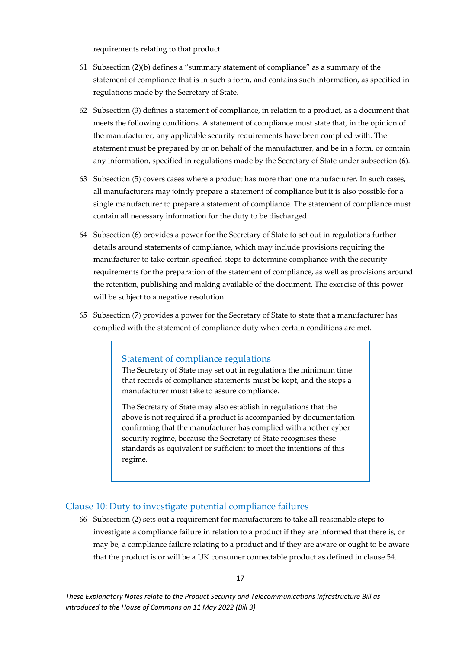requirements relating to that product.

- 61 Subsection  $(2)(b)$  defines a "summary statement of compliance" as a summary of the statement of compliance that is in such a form, and contains such information, as specified in regulations made by the Secretary of State.
- 62 Subsection (3) defines a statement of compliance, in relation to a product, as a document that meets the following conditions. A statement of compliance must state that, in the opinion of the manufacturer, any applicable security requirements have been complied with. The statement must be prepared by or on behalf of the manufacturer, and be in a form, or contain any information, specified in regulations made by the Secretary of State under subsection (6).
- 63 Subsection (5) covers cases where a product has more than one manufacturer. In such cases, all manufacturers may jointly prepare a statement of compliance but it is also possible for a single manufacturer to prepare a statement of compliance. The statement of compliance must contain all necessary information for the duty to be discharged.
- 64 Subsection (6) provides a power for the Secretary of State to set out in regulations further details around statements of compliance, which may include provisions requiring the manufacturer to take certain specified steps to determine compliance with the security requirements for the preparation of the statement of compliance, as well as provisions around the retention, publishing and making available of the document. The exercise of this power will be subject to a negative resolution.
- 65 Subsection (7) provides a power for the Secretary of State to state that a manufacturer has complied with the statement of compliance duty when certain conditions are met.

#### Statement of compliance regulations

The Secretary of State may set out in regulations the minimum time that records of compliance statements must be kept, and the steps a manufacturer must take to assure compliance.

The Secretary of State may also establish in regulations that the above is not required if a product is accompanied by documentation confirming that the manufacturer has complied with another cyber security regime, because the Secretary of State recognises these standards as equivalent or sufficient to meet the intentions of this regime.

#### Clause 10: Duty to investigate potential compliance failures

66 Subsection (2) sets out a requirement for manufacturers to take all reasonable steps to investigate a compliance failure in relation to a product if they are informed that there is, or may be, a compliance failure relating to a product and if they are aware or ought to be aware that the product is or will be a UK consumer connectable product as defined in clause 54.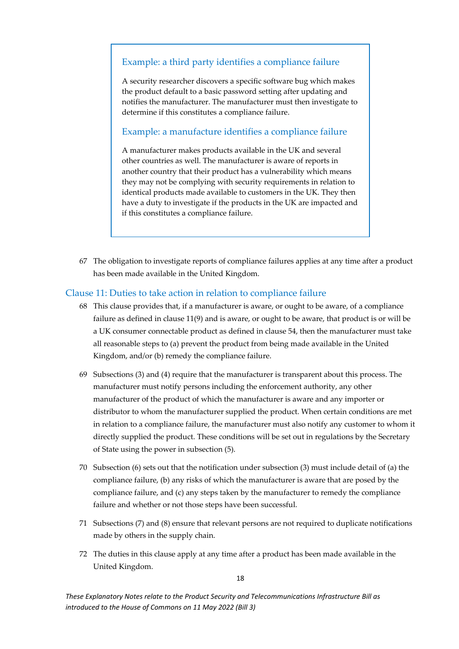### Example: a third party identifies a compliance failure

A security researcher discovers a specific software bug which makes the product default to a basic password setting after updating and notifies the manufacturer. The manufacturer must then investigate to determine if this constitutes a compliance failure.

### Example: a manufacture identifies a compliance failure

A manufacturer makes products available in the UK and several other countries as well. The manufacturer is aware of reports in another country that their product has a vulnerability which means they may not be complying with security requirements in relation to identical products made available to customers in the UK. They then have a duty to investigate if the products in the UK are impacted and if this constitutes a compliance failure.

67 The obligation to investigate reports of compliance failures applies at any time after a product has been made available in the United Kingdom.

#### Clause 11: Duties to take action in relation to compliance failure

- 68 This clause provides that, if a manufacturer is aware, or ought to be aware, of a compliance failure as defined in clause 11(9) and is aware, or ought to be aware, that product is or will be a UK consumer connectable product as defined in clause 54, then the manufacturer must take all reasonable steps to (a) prevent the product from being made available in the United Kingdom, and/or (b) remedy the compliance failure.
- 69 Subsections (3) and (4) require that the manufacturer is transparent about this process. The manufacturer must notify persons including the enforcement authority, any other manufacturer of the product of which the manufacturer is aware and any importer or distributor to whom the manufacturer supplied the product. When certain conditions are met in relation to a compliance failure, the manufacturer must also notify any customer to whom it directly supplied the product. These conditions will be set out in regulations by the Secretary of State using the power in subsection (5).
- 70 Subsection (6) sets out that the notification under subsection (3) must include detail of (a) the compliance failure, (b) any risks of which the manufacturer is aware that are posed by the compliance failure, and (c) any steps taken by the manufacturer to remedy the compliance failure and whether or not those steps have been successful.
- 71 Subsections (7) and (8) ensure that relevant persons are not required to duplicate notifications made by others in the supply chain.
- 72 The duties in this clause apply at any time after a product has been made available in the United Kingdom.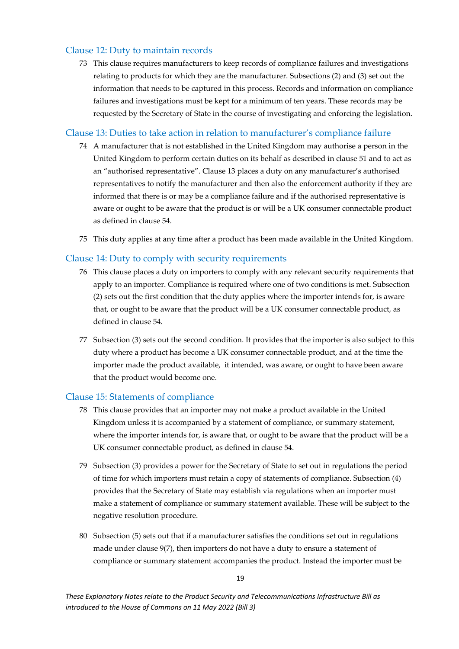#### Clause 12: Duty to maintain records

73 This clause requires manufacturers to keep records of compliance failures and investigations relating to products for which they are the manufacturer. Subsections (2) and (3) set out the information that needs to be captured in this process. Records and information on compliance failures and investigations must be kept for a minimum of ten years. These records may be requested by the Secretary of State in the course of investigating and enforcing the legislation.

#### Clause 13: Duties to take action in relation to manufacturer's compliance failure

- 74 A manufacturer that is not established in the United Kingdom may authorise a person in the United Kingdom to perform certain duties on its behalf as described in clause 51 and to act as an "authorised representative". Clause 13 places a duty on any manufacturer's authorised representatives to notify the manufacturer and then also the enforcement authority if they are informed that there is or may be a compliance failure and if the authorised representative is aware or ought to be aware that the product is or will be a UK consumer connectable product as defined in clause 54.
- 75 This duty applies at any time after a product has been made available in the United Kingdom.

#### <span id="page-19-1"></span>Clause 14: Duty to comply with security requirements

- 76 This clause places a duty on importers to comply with any relevant security requirements that apply to an importer. Compliance is required where one of two conditions is met. Subsection (2) sets out the first condition that the duty applies where the importer intends for, is aware that, or ought to be aware that the product will be a UK consumer connectable product, as defined in clause 54.
- 77 Subsection (3) sets out the second condition. It provides that the importer is also subject to this duty where a product has become a UK consumer connectable product, and at the time the importer made the product available, it intended, was aware, or ought to have been aware that the product would become one.

#### <span id="page-19-0"></span>Clause 15: Statements of compliance

- 78 This clause provides that an importer may not make a product available in the United Kingdom unless it is accompanied by a statement of compliance, or summary statement, where the importer intends for, is aware that, or ought to be aware that the product will be a UK consumer connectable product, as defined in clause 54.
- 79 Subsection (3) provides a power for the Secretary of State to set out in regulations the period of time for which importers must retain a copy of statements of compliance. Subsection (4) provides that the Secretary of State may establish via regulations when an importer must make a statement of compliance or summary statement available. These will be subject to the negative resolution procedure.
- 80 Subsection (5) sets out that if a manufacturer satisfies the conditions set out in regulations made under clause 9(7), then importers do not have a duty to ensure a statement of compliance or summary statement accompanies the product. Instead the importer must be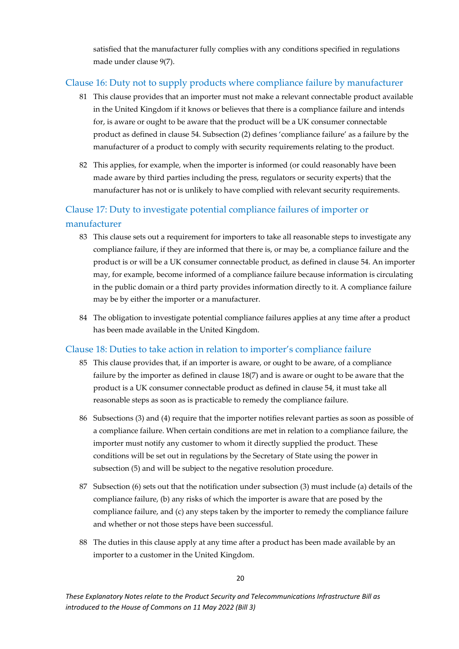satisfied that the manufacturer fully complies with any conditions specified in regulations made under clause 9(7).

#### <span id="page-20-0"></span>Clause 16: Duty not to supply products where compliance failure by manufacturer

- 81 This clause provides that an importer must not make a relevant connectable product available in the United Kingdom if it knows or believes that there is a compliance failure and intends for, is aware or ought to be aware that the product will be a UK consumer connectable product as defined in clause 54. Subsection (2) defines 'compliance failure' as a failure by the manufacturer of a product to comply with security requirements relating to the product.
- 82 This applies, for example, when the importer is informed (or could reasonably have been made aware by third parties including the press, regulators or security experts) that the manufacturer has not or is unlikely to have complied with relevant security requirements.

### Clause 17: Duty to investigate potential compliance failures of importer or manufacturer

- 83 This clause sets out a requirement for importers to take all reasonable steps to investigate any compliance failure, if they are informed that there is, or may be, a compliance failure and the product is or will be a UK consumer connectable product, as defined in clause 54. An importer may, for example, become informed of a compliance failure because information is circulating in the public domain or a third party provides information directly to it. A compliance failure may be by either the importer or a manufacturer.
- 84 The obligation to investigate potential compliance failures applies at any time after a product has been made available in the United Kingdom.

#### Clause 18: Duties to take action in relation to importer's compliance failure

- 85 This clause provides that, if an importer is aware, or ought to be aware, of a compliance failure by the importer as defined in clause 18(7) and is aware or ought to be aware that the product is a UK consumer connectable product as defined in clause 54, it must take all reasonable steps as soon as is practicable to remedy the compliance failure.
- 86 Subsections (3) and (4) require that the importer notifies relevant parties as soon as possible of a compliance failure. When certain conditions are met in relation to a compliance failure, the importer must notify any customer to whom it directly supplied the product. These conditions will be set out in regulations by the Secretary of State using the power in subsection (5) and will be subject to the negative resolution procedure.
- 87 Subsection (6) sets out that the notification under subsection (3) must include (a) details of the compliance failure, (b) any risks of which the importer is aware that are posed by the compliance failure, and (c) any steps taken by the importer to remedy the compliance failure and whether or not those steps have been successful.
- 88 The duties in this clause apply at any time after a product has been made available by an importer to a customer in the United Kingdom.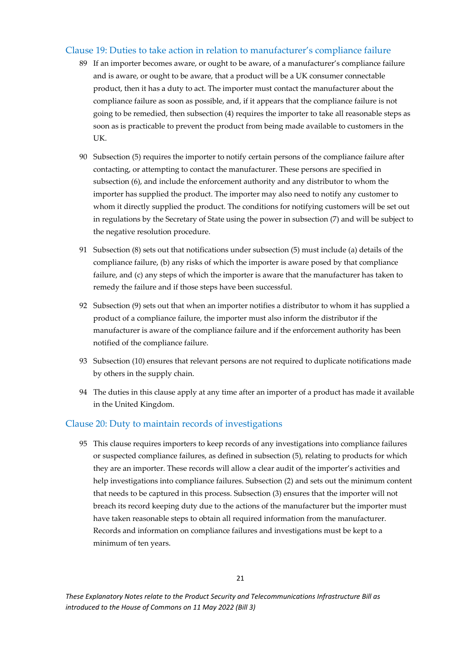#### Clause 19: Duties to take action in relation to manufacturer's compliance failure

- 89 If an importer becomes aware, or ought to be aware, of a manufacturer's compliance failure and is aware, or ought to be aware, that a product will be a UK consumer connectable product, then it has a duty to act. The importer must contact the manufacturer about the compliance failure as soon as possible, and, if it appears that the compliance failure is not going to be remedied, then subsection (4) requires the importer to take all reasonable steps as soon as is practicable to prevent the product from being made available to customers in the UK.
- 90 Subsection (5) requires the importer to notify certain persons of the compliance failure after contacting, or attempting to contact the manufacturer. These persons are specified in subsection (6), and include the enforcement authority and any distributor to whom the importer has supplied the product. The importer may also need to notify any customer to whom it directly supplied the product. The conditions for notifying customers will be set out in regulations by the Secretary of State using the power in subsection (7) and will be subject to the negative resolution procedure.
- 91 Subsection (8) sets out that notifications under subsection (5) must include (a) details of the compliance failure, (b) any risks of which the importer is aware posed by that compliance failure, and (c) any steps of which the importer is aware that the manufacturer has taken to remedy the failure and if those steps have been successful.
- 92 Subsection (9) sets out that when an importer notifies a distributor to whom it has supplied a product of a compliance failure, the importer must also inform the distributor if the manufacturer is aware of the compliance failure and if the enforcement authority has been notified of the compliance failure.
- 93 Subsection (10) ensures that relevant persons are not required to duplicate notifications made by others in the supply chain.
- 94 The duties in this clause apply at any time after an importer of a product has made it available in the United Kingdom.

#### <span id="page-21-0"></span>Clause 20: Duty to maintain records of investigations

95 This clause requires importers to keep records of any investigations into compliance failures or suspected compliance failures, as defined in subsection (5), relating to products for which they are an importer. These records will allow a clear audit of the importer's activities and help investigations into compliance failures. Subsection (2) and sets out the minimum content that needs to be captured in this process. Subsection (3) ensures that the importer will not breach its record keeping duty due to the actions of the manufacturer but the importer must have taken reasonable steps to obtain all required information from the manufacturer. Records and information on compliance failures and investigations must be kept to a minimum of ten years.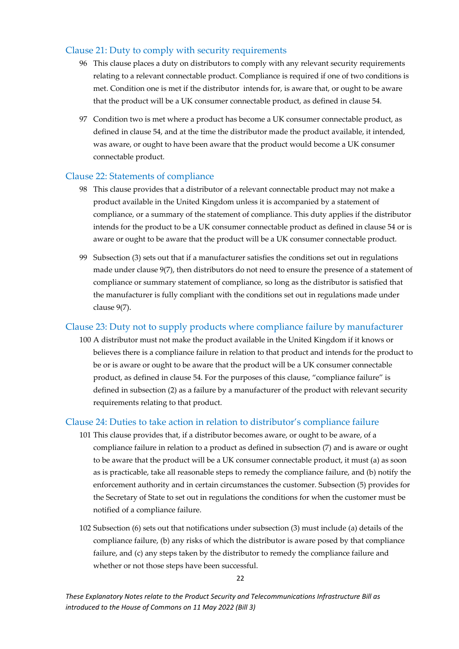#### Clause 21: Duty to comply with security requirements

- 96 This clause places a duty on distributors to comply with any relevant security requirements relating to a relevant connectable product. Compliance is required if one of two conditions is met. Condition one is met if the distributor intends for, is aware that, or ought to be aware that the product will be a UK consumer connectable product, as defined in clause 54.
- 97 Condition two is met where a product has become a UK consumer connectable product, as defined in clause 54, and at the time the distributor made the product available, it intended, was aware, or ought to have been aware that the product would become a UK consumer connectable product.

#### Clause 22: Statements of compliance

- 98 This clause provides that a distributor of a relevant connectable product may not make a product available in the United Kingdom unless it is accompanied by a statement of compliance, or a summary of the statement of compliance. This duty applies if the distributor intends for the product to be a UK consumer connectable product as defined in clause 54 or is aware or ought to be aware that the product will be a UK consumer connectable product.
- 99 Subsection (3) sets out that if a manufacturer satisfies the conditions set out in regulations made under clause 9(7), then distributors do not need to ensure the presence of a statement of compliance or summary statement of compliance, so long as the distributor is satisfied that the manufacturer is fully compliant with the conditions set out in regulations made under clause 9(7).

### Clause 23: Duty not to supply products where compliance failure by manufacturer

100 A distributor must not make the product available in the United Kingdom if it knows or believes there is a compliance failure in relation to that product and intends for the product to be or is aware or ought to be aware that the product will be a UK consumer connectable product, as defined in clause 54. For the purposes of this clause, "compliance failure" is defined in subsection (2) as a failure by a manufacturer of the product with relevant security requirements relating to that product.

#### <span id="page-22-0"></span>Clause 24: Duties to take action in relation to distributor's compliance failure

- 101 This clause provides that, if a distributor becomes aware, or ought to be aware, of a compliance failure in relation to a product as defined in subsection (7) and is aware or ought to be aware that the product will be a UK consumer connectable product, it must (a) as soon as is practicable, take all reasonable steps to remedy the compliance failure, and (b) notify the enforcement authority and in certain circumstances the customer. Subsection (5) provides for the Secretary of State to set out in regulations the conditions for when the customer must be notified of a compliance failure.
- 102 Subsection (6) sets out that notifications under subsection (3) must include (a) details of the compliance failure, (b) any risks of which the distributor is aware posed by that compliance failure, and (c) any steps taken by the distributor to remedy the compliance failure and whether or not those steps have been successful.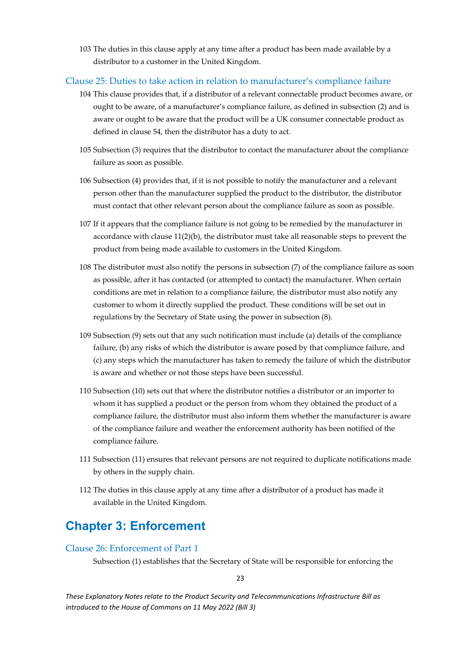103 The duties in this clause apply at any time after a product has been made available by a distributor to a customer in the United Kingdom.

#### <span id="page-23-0"></span>Clause 25: Duties to take action in relation to manufacturer's compliance failure

- 104 This clause provides that, if a distributor of a relevant connectable product becomes aware, or ought to be aware, of a manufacturer's compliance failure, as defined in subsection (2) and is aware or ought to be aware that the product will be a UK consumer connectable product as defined in clause 54, then the distributor has a duty to act.
- 105 Subsection (3) requires that the distributor to contact the manufacturer about the compliance failure as soon as possible.
- 106 Subsection (4) provides that, if it is not possible to notify the manufacturer and a relevant person other than the manufacturer supplied the product to the distributor, the distributor must contact that other relevant person about the compliance failure as soon as possible.
- 107 If it appears that the compliance failure is not going to be remedied by the manufacturer in accordance with clause  $11(2)(b)$ , the distributor must take all reasonable steps to prevent the product from being made available to customers in the United Kingdom.
- 108 The distributor must also notify the persons in subsection (7) of the compliance failure as soon as possible, after it has contacted (or attempted to contact) the manufacturer. When certain conditions are met in relation to a compliance failure, the distributor must also notify any customer to whom it directly supplied the product. These conditions will be set out in regulations by the Secretary of State using the power in subsection (8).
- 109 Subsection (9) sets out that any such notification must include (a) details of the compliance failure, (b) any risks of which the distributor is aware posed by that compliance failure, and (c) any steps which the manufacturer has taken to remedy the failure of which the distributor is aware and whether or not those steps have been successful.
- 110 Subsection (10) sets out that where the distributor notifies a distributor or an importer to whom it has supplied a product or the person from whom they obtained the product of a compliance failure, the distributor must also inform them whether the manufacturer is aware of the compliance failure and weather the enforcement authority has been notified of the compliance failure.
- 111 Subsection (11) ensures that relevant persons are not required to duplicate notifications made by others in the supply chain.
- 112 The duties in this clause apply at any time after a distributor of a product has made it available in the United Kingdom.

### <span id="page-23-1"></span>**Chapter 3: Enforcement**

#### <span id="page-23-2"></span>Clause 26: Enforcement of Part 1

Subsection (1) establishes that the Secretary of State will be responsible for enforcing the

 $23$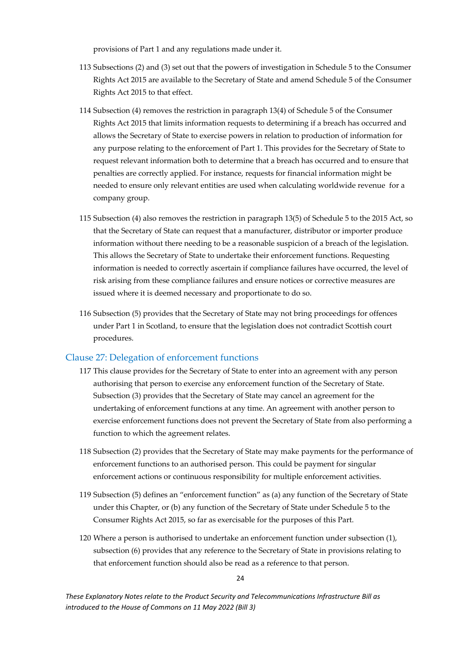provisions of Part 1 and any regulations made under it.

- 113 Subsections (2) and (3) set out that the powers of investigation in Schedule 5 to the Consumer Rights Act 2015 are available to the Secretary of State and amend Schedule 5 of the Consumer Rights Act 2015 to that effect.
- 114 Subsection (4) removes the restriction in paragraph 13(4) of Schedule 5 of the Consumer Rights Act 2015 that limits information requests to determining if a breach has occurred and allows the Secretary of State to exercise powers in relation to production of information for any purpose relating to the enforcement of Part 1. This provides for the Secretary of State to request relevant information both to determine that a breach has occurred and to ensure that penalties are correctly applied. For instance, requests for financial information might be needed to ensure only relevant entities are used when calculating worldwide revenue for a company group.
- 115 Subsection (4) also removes the restriction in paragraph 13(5) of Schedule 5 to the 2015 Act, so that the Secretary of State can request that a manufacturer, distributor or importer produce information without there needing to be a reasonable suspicion of a breach of the legislation. This allows the Secretary of State to undertake their enforcement functions. Requesting information is needed to correctly ascertain if compliance failures have occurred, the level of risk arising from these compliance failures and ensure notices or corrective measures are issued where it is deemed necessary and proportionate to do so.
- 116 Subsection (5) provides that the Secretary of State may not bring proceedings for offences under Part 1 in Scotland, to ensure that the legislation does not contradict Scottish court procedures.

#### <span id="page-24-0"></span>Clause 27: Delegation of enforcement functions

- 117 This clause provides for the Secretary of State to enter into an agreement with any person authorising that person to exercise any enforcement function of the Secretary of State. Subsection (3) provides that the Secretary of State may cancel an agreement for the undertaking of enforcement functions at any time. An agreement with another person to exercise enforcement functions does not prevent the Secretary of State from also performing a function to which the agreement relates.
- 118 Subsection (2) provides that the Secretary of State may make payments for the performance of enforcement functions to an authorised person. This could be payment for singular enforcement actions or continuous responsibility for multiple enforcement activities.
- 119 Subsection (5) defines an "enforcement function" as (a) any function of the Secretary of State under this Chapter, or (b) any function of the Secretary of State under Schedule 5 to the Consumer Rights Act 2015, so far as exercisable for the purposes of this Part.
- 120 Where a person is authorised to undertake an enforcement function under subsection (1), subsection (6) provides that any reference to the Secretary of State in provisions relating to that enforcement function should also be read as a reference to that person.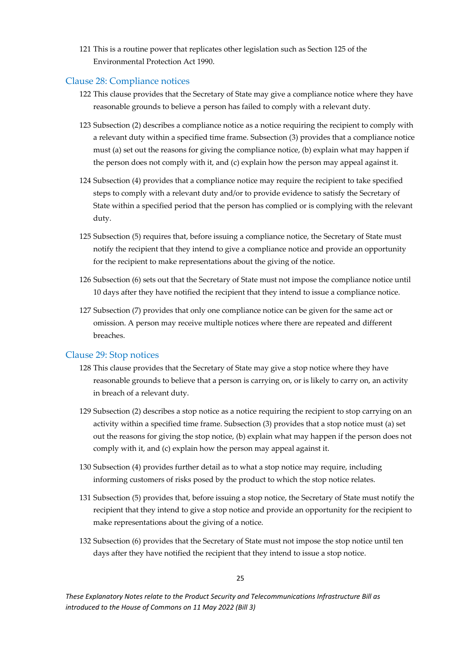121 This is a routine power that replicates other legislation such as Section 125 of the Environmental Protection Act 1990.

#### <span id="page-25-0"></span>Clause 28: Compliance notices

- 122 This clause provides that the Secretary of State may give a compliance notice where they have reasonable grounds to believe a person has failed to comply with a relevant duty.
- 123 Subsection (2) describes a compliance notice as a notice requiring the recipient to comply with a relevant duty within a specified time frame. Subsection (3) provides that a compliance notice must (a) set out the reasons for giving the compliance notice, (b) explain what may happen if the person does not comply with it, and (c) explain how the person may appeal against it.
- 124 Subsection (4) provides that a compliance notice may require the recipient to take specified steps to comply with a relevant duty and/or to provide evidence to satisfy the Secretary of State within a specified period that the person has complied or is complying with the relevant duty.
- 125 Subsection (5) requires that, before issuing a compliance notice, the Secretary of State must notify the recipient that they intend to give a compliance notice and provide an opportunity for the recipient to make representations about the giving of the notice.
- 126 Subsection (6) sets out that the Secretary of State must not impose the compliance notice until 10 days after they have notified the recipient that they intend to issue a compliance notice.
- 127 Subsection (7) provides that only one compliance notice can be given for the same act or omission. A person may receive multiple notices where there are repeated and different breaches.

#### <span id="page-25-1"></span>Clause 29: Stop notices

- 128 This clause provides that the Secretary of State may give a stop notice where they have reasonable grounds to believe that a person is carrying on, or is likely to carry on, an activity in breach of a relevant duty.
- 129 Subsection (2) describes a stop notice as a notice requiring the recipient to stop carrying on an activity within a specified time frame. Subsection (3) provides that a stop notice must (a) set out the reasons for giving the stop notice, (b) explain what may happen if the person does not comply with it, and (c) explain how the person may appeal against it.
- 130 Subsection (4) provides further detail as to what a stop notice may require, including informing customers of risks posed by the product to which the stop notice relates.
- 131 Subsection (5) provides that, before issuing a stop notice, the Secretary of State must notify the recipient that they intend to give a stop notice and provide an opportunity for the recipient to make representations about the giving of a notice.
- 132 Subsection (6) provides that the Secretary of State must not impose the stop notice until ten days after they have notified the recipient that they intend to issue a stop notice.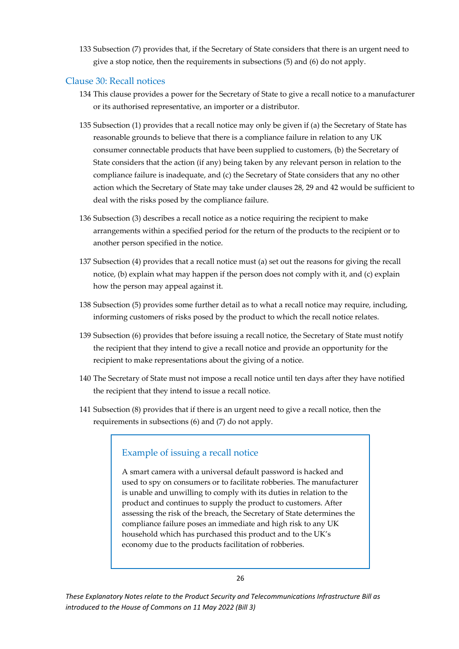133 Subsection (7) provides that, if the Secretary of State considers that there is an urgent need to give a stop notice, then the requirements in subsections (5) and (6) do not apply.

#### <span id="page-26-0"></span>Clause 30: Recall notices

- 134 This clause provides a power for the Secretary of State to give a recall notice to a manufacturer or its authorised representative, an importer or a distributor.
- 135 Subsection (1) provides that a recall notice may only be given if (a) the Secretary of State has reasonable grounds to believe that there is a compliance failure in relation to any UK consumer connectable products that have been supplied to customers, (b) the Secretary of State considers that the action (if any) being taken by any relevant person in relation to the compliance failure is inadequate, and (c) the Secretary of State considers that any no other action which the Secretary of State may take under clauses 28, 29 and 42 would be sufficient to deal with the risks posed by the compliance failure.
- 136 Subsection (3) describes a recall notice as a notice requiring the recipient to make arrangements within a specified period for the return of the products to the recipient or to another person specified in the notice.
- 137 Subsection (4) provides that a recall notice must (a) set out the reasons for giving the recall notice, (b) explain what may happen if the person does not comply with it, and (c) explain how the person may appeal against it.
- 138 Subsection (5) provides some further detail as to what a recall notice may require, including, informing customers of risks posed by the product to which the recall notice relates.
- 139 Subsection (6) provides that before issuing a recall notice, the Secretary of State must notify the recipient that they intend to give a recall notice and provide an opportunity for the recipient to make representations about the giving of a notice.
- 140 The Secretary of State must not impose a recall notice until ten days after they have notified the recipient that they intend to issue a recall notice.
- 141 Subsection (8) provides that if there is an urgent need to give a recall notice, then the requirements in subsections (6) and (7) do not apply.

### Example of issuing a recall notice

A smart camera with a universal default password is hacked and used to spy on consumers or to facilitate robberies. The manufacturer is unable and unwilling to comply with its duties in relation to the product and continues to supply the product to customers. After assessing the risk of the breach, the Secretary of State determines the compliance failure poses an immediate and high risk to any UK household which has purchased this product and to the UK's economy due to the products facilitation of robberies.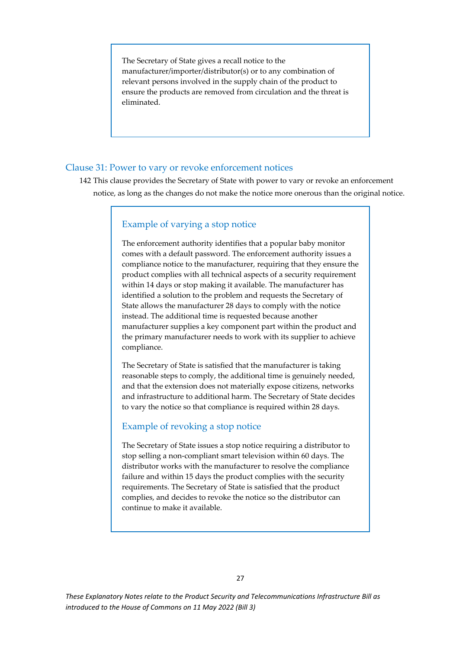The Secretary of State gives a recall notice to the manufacturer/importer/distributor(s) or to any combination of relevant persons involved in the supply chain of the product to ensure the products are removed from circulation and the threat is eliminated.

#### <span id="page-27-0"></span>Clause 31: Power to vary or revoke enforcement notices

142 This clause provides the Secretary of State with power to vary or revoke an enforcement notice, as long as the changes do not make the notice more onerous than the original notice.

#### Example of varying a stop notice

The enforcement authority identifies that a popular baby monitor comes with a default password. The enforcement authority issues a compliance notice to the manufacturer, requiring that they ensure the product complies with all technical aspects of a security requirement within 14 days or stop making it available. The manufacturer has identified a solution to the problem and requests the Secretary of State allows the manufacturer 28 days to comply with the notice instead. The additional time is requested because another manufacturer supplies a key component part within the product and the primary manufacturer needs to work with its supplier to achieve compliance.

The Secretary of State is satisfied that the manufacturer is taking reasonable steps to comply, the additional time is genuinely needed, and that the extension does not materially expose citizens, networks and infrastructure to additional harm. The Secretary of State decides to vary the notice so that compliance is required within 28 days.

#### Example of revoking a stop notice

<span id="page-27-1"></span>The Secretary of State issues a stop notice requiring a distributor to stop selling a non-compliant smart television within 60 days. The distributor works with the manufacturer to resolve the compliance failure and within 15 days the product complies with the security requirements. The Secretary of State is satisfied that the product complies, and decides to revoke the notice so the distributor can continue to make it available.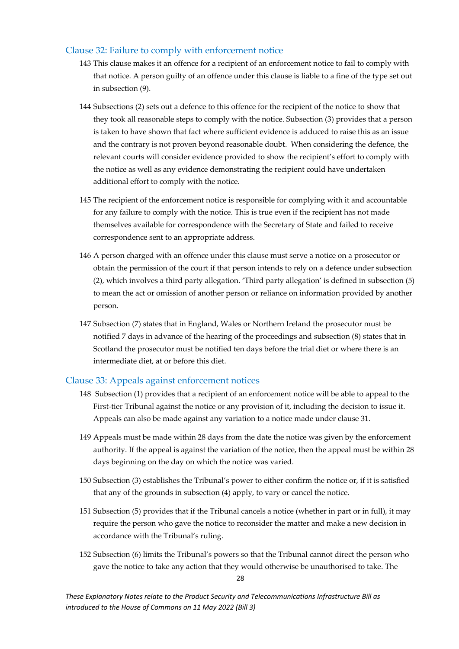#### Clause 32: Failure to comply with enforcement notice

- 143 This clause makes it an offence for a recipient of an enforcement notice to fail to comply with that notice. A person guilty of an offence under this clause is liable to a fine of the type set out in subsection (9).
- 144 Subsections (2) sets out a defence to this offence for the recipient of the notice to show that they took all reasonable steps to comply with the notice. Subsection (3) provides that a person is taken to have shown that fact where sufficient evidence is adduced to raise this as an issue and the contrary is not proven beyond reasonable doubt. When considering the defence, the relevant courts will consider evidence provided to show the recipient's effort to comply with the notice as well as any evidence demonstrating the recipient could have undertaken additional effort to comply with the notice.
- 145 The recipient of the enforcement notice is responsible for complying with it and accountable for any failure to comply with the notice. This is true even if the recipient has not made themselves available for correspondence with the Secretary of State and failed to receive correspondence sent to an appropriate address.
- 146 A person charged with an offence under this clause must serve a notice on a prosecutor or obtain the permission of the court if that person intends to rely on a defence under subsection (2), which involves a third party allegation. 'Third party allegation' is defined in subsection (5) to mean the act or omission of another person or reliance on information provided by another person.
- 147 Subsection (7) states that in England, Wales or Northern Ireland the prosecutor must be notified 7 days in advance of the hearing of the proceedings and subsection (8) states that in Scotland the prosecutor must be notified ten days before the trial diet or where there is an intermediate diet, at or before this diet.

#### <span id="page-28-0"></span>Clause 33: Appeals against enforcement notices

- 148 Subsection (1) provides that a recipient of an enforcement notice will be able to appeal to the First-tier Tribunal against the notice or any provision of it, including the decision to issue it. Appeals can also be made against any variation to a notice made under clause 31.
- 149 Appeals must be made within 28 days from the date the notice was given by the enforcement authority. If the appeal is against the variation of the notice, then the appeal must be within 28 days beginning on the day on which the notice was varied.
- 150 Subsection (3) establishes the Tribunal's power to either confirm the notice or, if it is satisfied that any of the grounds in subsection (4) apply, to vary or cancel the notice.
- 151 Subsection (5) provides that if the Tribunal cancels a notice (whether in part or in full), it may require the person who gave the notice to reconsider the matter and make a new decision in accordance with the Tribunal's ruling.
- 152 Subsection (6) limits the Tribunal's powers so that the Tribunal cannot direct the person who gave the notice to take any action that they would otherwise be unauthorised to take. The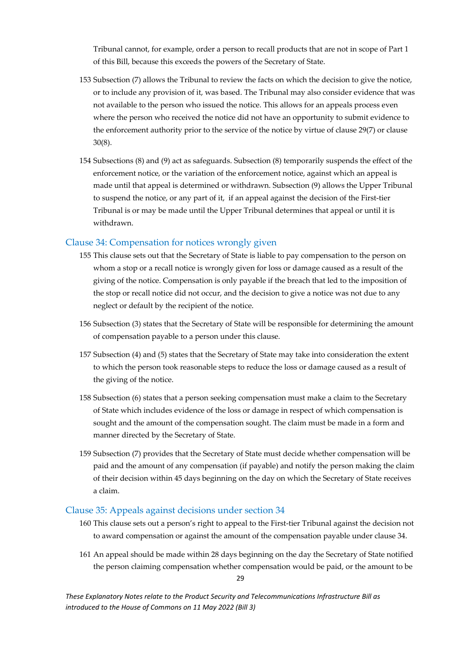Tribunal cannot, for example, order a person to recall products that are not in scope of Part 1 of this Bill, because this exceeds the powers of the Secretary of State.

- 153 Subsection (7) allows the Tribunal to review the facts on which the decision to give the notice, or to include any provision of it, was based. The Tribunal may also consider evidence that was not available to the person who issued the notice. This allows for an appeals process even where the person who received the notice did not have an opportunity to submit evidence to the enforcement authority prior to the service of the notice by virtue of clause 29(7) or clause 30(8).
- 154 Subsections (8) and (9) act as safeguards. Subsection (8) temporarily suspends the effect of the enforcement notice, or the variation of the enforcement notice, against which an appeal is made until that appeal is determined or withdrawn. Subsection (9) allows the Upper Tribunal to suspend the notice, or any part of it, if an appeal against the decision of the First-tier Tribunal is or may be made until the Upper Tribunal determines that appeal or until it is withdrawn.

#### <span id="page-29-0"></span>Clause 34: Compensation for notices wrongly given

- 155 This clause sets out that the Secretary of State is liable to pay compensation to the person on whom a stop or a recall notice is wrongly given for loss or damage caused as a result of the giving of the notice. Compensation is only payable if the breach that led to the imposition of the stop or recall notice did not occur, and the decision to give a notice was not due to any neglect or default by the recipient of the notice.
- 156 Subsection (3) states that the Secretary of State will be responsible for determining the amount of compensation payable to a person under this clause.
- 157 Subsection (4) and (5) states that the Secretary of State may take into consideration the extent to which the person took reasonable steps to reduce the loss or damage caused as a result of the giving of the notice.
- 158 Subsection (6) states that a person seeking compensation must make a claim to the Secretary of State which includes evidence of the loss or damage in respect of which compensation is sought and the amount of the compensation sought. The claim must be made in a form and manner directed by the Secretary of State.
- 159 Subsection (7) provides that the Secretary of State must decide whether compensation will be paid and the amount of any compensation (if payable) and notify the person making the claim of their decision within 45 days beginning on the day on which the Secretary of State receives a claim.

#### <span id="page-29-1"></span>Clause 35: Appeals against decisions under section 34

- 160 This clause sets out a person's right to appeal to the First-tier Tribunal against the decision not to award compensation or against the amount of the compensation payable under clause 34.
- 161 An appeal should be made within 28 days beginning on the day the Secretary of State notified the person claiming compensation whether compensation would be paid, or the amount to be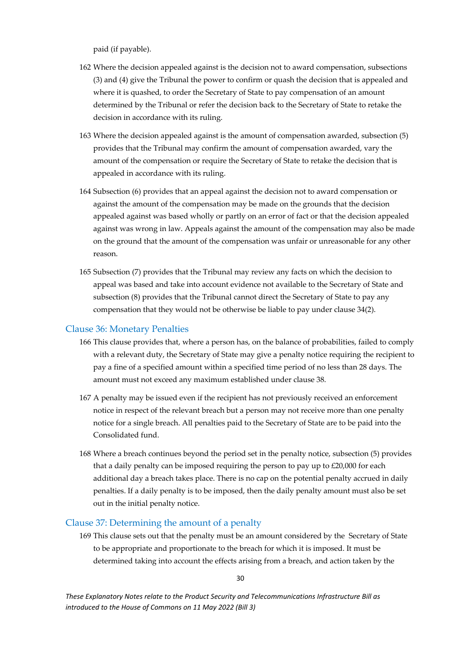paid (if payable).

- 162 Where the decision appealed against is the decision not to award compensation, subsections (3) and (4) give the Tribunal the power to confirm or quash the decision that is appealed and where it is quashed, to order the Secretary of State to pay compensation of an amount determined by the Tribunal or refer the decision back to the Secretary of State to retake the decision in accordance with its ruling.
- 163 Where the decision appealed against is the amount of compensation awarded, subsection (5) provides that the Tribunal may confirm the amount of compensation awarded, vary the amount of the compensation or require the Secretary of State to retake the decision that is appealed in accordance with its ruling.
- 164 Subsection (6) provides that an appeal against the decision not to award compensation or against the amount of the compensation may be made on the grounds that the decision appealed against was based wholly or partly on an error of fact or that the decision appealed against was wrong in law. Appeals against the amount of the compensation may also be made on the ground that the amount of the compensation was unfair or unreasonable for any other reason.
- 165 Subsection (7) provides that the Tribunal may review any facts on which the decision to appeal was based and take into account evidence not available to the Secretary of State and subsection (8) provides that the Tribunal cannot direct the Secretary of State to pay any compensation that they would not be otherwise be liable to pay under clause 34(2).

#### <span id="page-30-0"></span>Clause 36: Monetary Penalties

- 166 This clause provides that, where a person has, on the balance of probabilities, failed to comply with a relevant duty, the Secretary of State may give a penalty notice requiring the recipient to pay a fine of a specified amount within a specified time period of no less than 28 days. The amount must not exceed any maximum established under clause 38.
- 167 A penalty may be issued even if the recipient has not previously received an enforcement notice in respect of the relevant breach but a person may not receive more than one penalty notice for a single breach. All penalties paid to the Secretary of State are to be paid into the Consolidated fund.
- 168 Where a breach continues beyond the period set in the penalty notice, subsection (5) provides that a daily penalty can be imposed requiring the person to pay up to £20,000 for each additional day a breach takes place. There is no cap on the potential penalty accrued in daily penalties. If a daily penalty is to be imposed, then the daily penalty amount must also be set out in the initial penalty notice.

#### <span id="page-30-1"></span>Clause 37: Determining the amount of a penalty

169 This clause sets out that the penalty must be an amount considered by the Secretary of State to be appropriate and proportionate to the breach for which it is imposed. It must be determined taking into account the effects arising from a breach, and action taken by the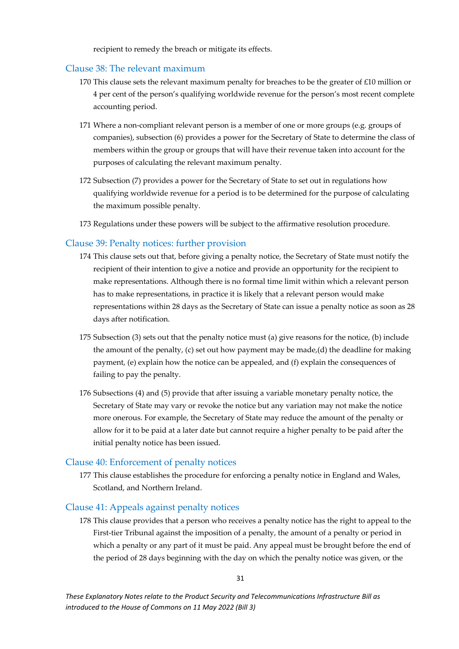recipient to remedy the breach or mitigate its effects.

#### <span id="page-31-0"></span>Clause 38: The relevant maximum

- 170 This clause sets the relevant maximum penalty for breaches to be the greater of £10 million or 4 per cent of the person's qualifying worldwide revenue for the person's most recent complete accounting period.
- 171 Where a non-compliant relevant person is a member of one or more groups (e.g. groups of companies), subsection (6) provides a power for the Secretary of State to determine the class of members within the group or groups that will have their revenue taken into account for the purposes of calculating the relevant maximum penalty.
- 172 Subsection (7) provides a power for the Secretary of State to set out in regulations how qualifying worldwide revenue for a period is to be determined for the purpose of calculating the maximum possible penalty.
- 173 Regulations under these powers will be subject to the affirmative resolution procedure.

#### <span id="page-31-1"></span>Clause 39: Penalty notices: further provision

- 174 This clause sets out that, before giving a penalty notice, the Secretary of State must notify the recipient of their intention to give a notice and provide an opportunity for the recipient to make representations. Although there is no formal time limit within which a relevant person has to make representations, in practice it is likely that a relevant person would make representations within 28 days as the Secretary of State can issue a penalty notice as soon as 28 days after notification.
- 175 Subsection (3) sets out that the penalty notice must (a) give reasons for the notice, (b) include the amount of the penalty, (c) set out how payment may be made,(d) the deadline for making payment, (e) explain how the notice can be appealed, and (f) explain the consequences of failing to pay the penalty.
- 176 Subsections (4) and (5) provide that after issuing a variable monetary penalty notice, the Secretary of State may vary or revoke the notice but any variation may not make the notice more onerous. For example, the Secretary of State may reduce the amount of the penalty or allow for it to be paid at a later date but cannot require a higher penalty to be paid after the initial penalty notice has been issued.

#### <span id="page-31-2"></span>Clause 40: Enforcement of penalty notices

177 This clause establishes the procedure for enforcing a penalty notice in England and Wales, Scotland, and Northern Ireland.

#### <span id="page-31-3"></span>Clause 41: Appeals against penalty notices

178 This clause provides that a person who receives a penalty notice has the right to appeal to the First-tier Tribunal against the imposition of a penalty, the amount of a penalty or period in which a penalty or any part of it must be paid. Any appeal must be brought before the end of the period of 28 days beginning with the day on which the penalty notice was given, or the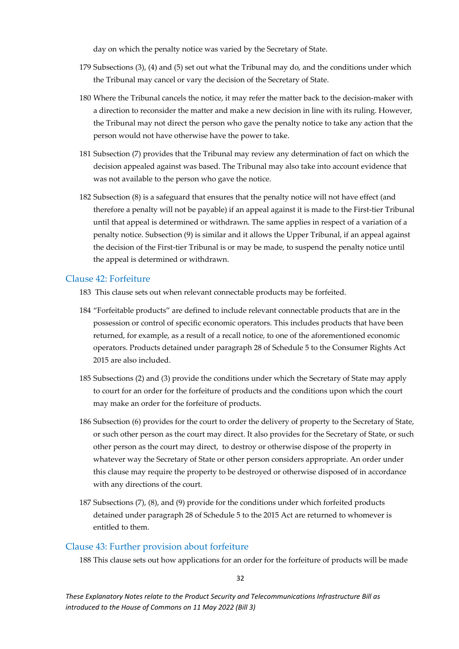day on which the penalty notice was varied by the Secretary of State.

- 179 Subsections (3), (4) and (5) set out what the Tribunal may do, and the conditions under which the Tribunal may cancel or vary the decision of the Secretary of State.
- 180 Where the Tribunal cancels the notice, it may refer the matter back to the decision-maker with a direction to reconsider the matter and make a new decision in line with its ruling. However, the Tribunal may not direct the person who gave the penalty notice to take any action that the person would not have otherwise have the power to take.
- 181 Subsection (7) provides that the Tribunal may review any determination of fact on which the decision appealed against was based. The Tribunal may also take into account evidence that was not available to the person who gave the notice.
- 182 Subsection (8) is a safeguard that ensures that the penalty notice will not have effect (and therefore a penalty will not be payable) if an appeal against it is made to the First-tier Tribunal until that appeal is determined or withdrawn. The same applies in respect of a variation of a penalty notice. Subsection (9) is similar and it allows the Upper Tribunal, if an appeal against the decision of the First-tier Tribunal is or may be made, to suspend the penalty notice until the appeal is determined or withdrawn.

#### <span id="page-32-0"></span>Clause 42: Forfeiture

- 183 This clause sets out when relevant connectable products may be forfeited.
- 184 "Forfeitable products" are defined to include relevant connectable products that are in the possession or control of specific economic operators. This includes products that have been returned, for example, as a result of a recall notice, to one of the aforementioned economic operators. Products detained under paragraph 28 of Schedule 5 to the Consumer Rights Act 2015 are also included.
- 185 Subsections (2) and (3) provide the conditions under which the Secretary of State may apply to court for an order for the forfeiture of products and the conditions upon which the court may make an order for the forfeiture of products.
- 186 Subsection (6) provides for the court to order the delivery of property to the Secretary of State, or such other person as the court may direct. It also provides for the Secretary of State, or such other person as the court may direct, to destroy or otherwise dispose of the property in whatever way the Secretary of State or other person considers appropriate. An order under this clause may require the property to be destroyed or otherwise disposed of in accordance with any directions of the court.
- 187 Subsections (7), (8), and (9) provide for the conditions under which forfeited products detained under paragraph 28 of Schedule 5 to the 2015 Act are returned to whomever is entitled to them.

#### <span id="page-32-1"></span>Clause 43: Further provision about forfeiture

188 This clause sets out how applications for an order for the forfeiture of products will be made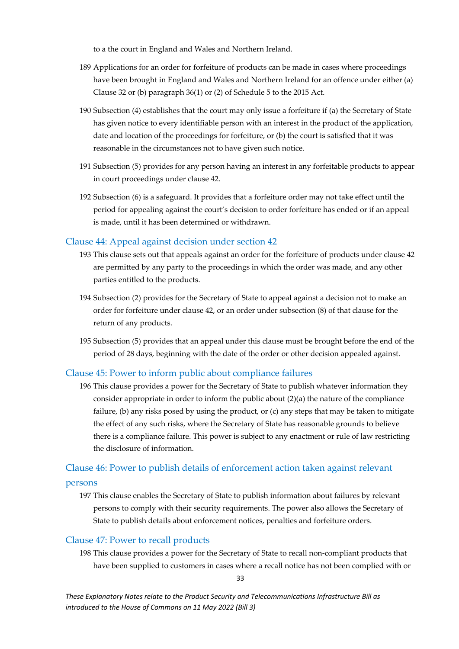to a the court in England and Wales and Northern Ireland.

- 189 Applications for an order for forfeiture of products can be made in cases where proceedings have been brought in England and Wales and Northern Ireland for an offence under either (a) Clause 32 or (b) paragraph 36(1) or (2) of Schedule 5 to the 2015 Act.
- 190 Subsection (4) establishes that the court may only issue a forfeiture if (a) the Secretary of State has given notice to every identifiable person with an interest in the product of the application, date and location of the proceedings for forfeiture, or (b) the court is satisfied that it was reasonable in the circumstances not to have given such notice.
- 191 Subsection (5) provides for any person having an interest in any forfeitable products to appear in court proceedings under clause 42.
- 192 Subsection (6) is a safeguard. It provides that a forfeiture order may not take effect until the period for appealing against the court's decision to order forfeiture has ended or if an appeal is made, until it has been determined or withdrawn.

#### <span id="page-33-0"></span>Clause 44: Appeal against decision under section 42

- 193 This clause sets out that appeals against an order for the forfeiture of products under clause 42 are permitted by any party to the proceedings in which the order was made, and any other parties entitled to the products.
- 194 Subsection (2) provides for the Secretary of State to appeal against a decision not to make an order for forfeiture under clause 42, or an order under subsection (8) of that clause for the return of any products.
- 195 Subsection (5) provides that an appeal under this clause must be brought before the end of the period of 28 days, beginning with the date of the order or other decision appealed against.

#### <span id="page-33-1"></span>Clause 45: Power to inform public about compliance failures

196 This clause provides a power for the Secretary of State to publish whatever information they consider appropriate in order to inform the public about (2)(a) the nature of the compliance failure, (b) any risks posed by using the product, or (c) any steps that may be taken to mitigate the effect of any such risks, where the Secretary of State has reasonable grounds to believe there is a compliance failure. This power is subject to any enactment or rule of law restricting the disclosure of information.

## <span id="page-33-2"></span>Clause 46: Power to publish details of enforcement action taken against relevant

#### persons

197 This clause enables the Secretary of State to publish information about failures by relevant persons to comply with their security requirements. The power also allows the Secretary of State to publish details about enforcement notices, penalties and forfeiture orders.

#### <span id="page-33-3"></span>Clause 47: Power to recall products

198 This clause provides a power for the Secretary of State to recall non-compliant products that have been supplied to customers in cases where a recall notice has not been complied with or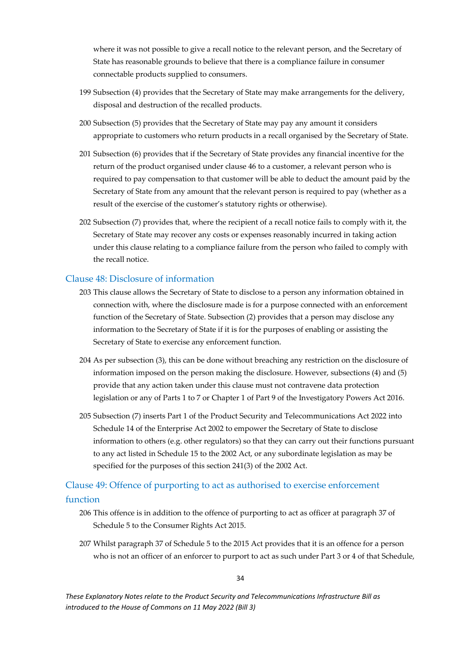where it was not possible to give a recall notice to the relevant person, and the Secretary of State has reasonable grounds to believe that there is a compliance failure in consumer connectable products supplied to consumers.

- 199 Subsection (4) provides that the Secretary of State may make arrangements for the delivery, disposal and destruction of the recalled products.
- 200 Subsection (5) provides that the Secretary of State may pay any amount it considers appropriate to customers who return products in a recall organised by the Secretary of State.
- 201 Subsection (6) provides that if the Secretary of State provides any financial incentive for the return of the product organised under clause 46 to a customer, a relevant person who is required to pay compensation to that customer will be able to deduct the amount paid by the Secretary of State from any amount that the relevant person is required to pay (whether as a result of the exercise of the customer's statutory rights or otherwise).
- 202 Subsection (7) provides that, where the recipient of a recall notice fails to comply with it, the Secretary of State may recover any costs or expenses reasonably incurred in taking action under this clause relating to a compliance failure from the person who failed to comply with the recall notice.

#### <span id="page-34-0"></span>Clause 48: Disclosure of information

- 203 This clause allows the Secretary of State to disclose to a person any information obtained in connection with, where the disclosure made is for a purpose connected with an enforcement function of the Secretary of State. Subsection (2) provides that a person may disclose any information to the Secretary of State if it is for the purposes of enabling or assisting the Secretary of State to exercise any enforcement function.
- 204 As per subsection (3), this can be done without breaching any restriction on the disclosure of information imposed on the person making the disclosure. However, subsections (4) and (5) provide that any action taken under this clause must not contravene data protection legislation or any of Parts 1 to 7 or Chapter 1 of Part 9 of the Investigatory Powers Act 2016.
- 205 Subsection (7) inserts Part 1 of the Product Security and Telecommunications Act 2022 into Schedule 14 of the Enterprise Act 2002 to empower the Secretary of State to disclose information to others (e.g. other regulators) so that they can carry out their functions pursuant to any act listed in Schedule 15 to the 2002 Act, or any subordinate legislation as may be specified for the purposes of this section 241(3) of the 2002 Act.

### <span id="page-34-1"></span>Clause 49: Offence of purporting to act as authorised to exercise enforcement function

- 206 This offence is in addition to the offence of purporting to act as officer at paragraph 37 of Schedule 5 to the Consumer Rights Act 2015.
- 207 Whilst paragraph 37 of Schedule 5 to the 2015 Act provides that it is an offence for a person who is not an officer of an enforcer to purport to act as such under Part 3 or 4 of that Schedule,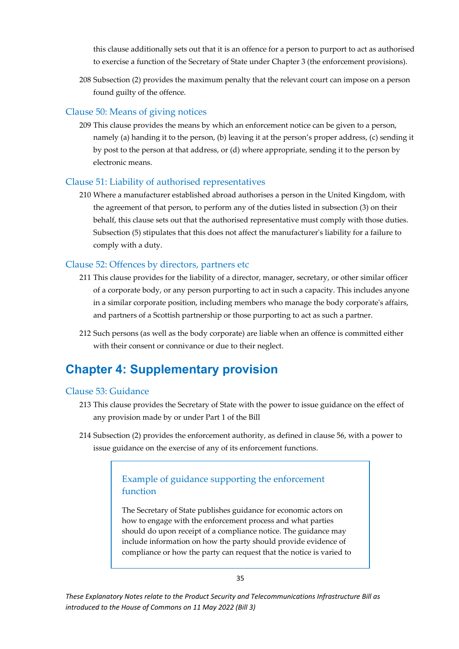this clause additionally sets out that it is an offence for a person to purport to act as authorised to exercise a function of the Secretary of State under Chapter 3 (the enforcement provisions).

208 Subsection (2) provides the maximum penalty that the relevant court can impose on a person found guilty of the offence.

#### <span id="page-35-0"></span>Clause 50: Means of giving notices

209 This clause provides the means by which an enforcement notice can be given to a person, namely (a) handing it to the person, (b) leaving it at the person's proper address, (c) sending it by post to the person at that address, or (d) where appropriate, sending it to the person by electronic means.

#### <span id="page-35-1"></span>Clause 51: Liability of authorised representatives

210 Where a manufacturer established abroad authorises a person in the United Kingdom, with the agreement of that person, to perform any of the duties listed in subsection (3) on their behalf, this clause sets out that the authorised representative must comply with those duties. Subsection (5) stipulates that this does not affect the manufacturer's liability for a failure to comply with a duty.

#### <span id="page-35-2"></span>Clause 52: Offences by directors, partners etc

- 211 This clause provides for the liability of a director, manager, secretary, or other similar officer of a corporate body, or any person purporting to act in such a capacity. This includes anyone in a similar corporate position, including members who manage the body corporate's affairs, and partners of a Scottish partnership or those purporting to act as such a partner.
- 212 Such persons (as well as the body corporate) are liable when an offence is committed either with their consent or connivance or due to their neglect.

## <span id="page-35-3"></span>**Chapter 4: Supplementary provision**

#### <span id="page-35-4"></span>Clause 53: Guidance

- 213 This clause provides the Secretary of State with the power to issue guidance on the effect of any provision made by or under Part 1 of the Bill
- 214 Subsection (2) provides the enforcement authority, as defined in clause 56, with a power to issue guidance on the exercise of any of its enforcement functions.

### Example of guidance supporting the enforcement function

The Secretary of State publishes guidance for economic actors on how to engage with the enforcement process and what parties should do upon receipt of a compliance notice. The guidance may include information on how the party should provide evidence of compliance or how the party can request that the notice is varied to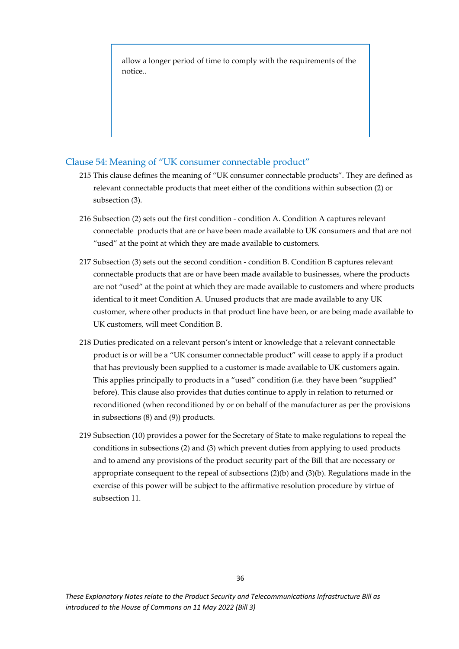allow a longer period of time to comply with the requirements of the notice..

#### <span id="page-36-0"></span>Clause 54: Meaning of "UK consumer connectable product"

- 215 This clause defines the meaning of "UK consumer connectable products". They are defined as relevant connectable products that meet either of the conditions within subsection (2) or subsection (3).
- 216 Subsection (2) sets out the first condition condition A. Condition A captures relevant connectable products that are or have been made available to UK consumers and that are not "used" at the point at which they are made available to customers.
- 217 Subsection (3) sets out the second condition condition B. Condition B captures relevant connectable products that are or have been made available to businesses, where the products are not "used" at the point at which they are made available to customers and where products identical to it meet Condition A. Unused products that are made available to any UK customer, where other products in that product line have been, or are being made available to UK customers, will meet Condition B.
- 218 Duties predicated on a relevant person's intent or knowledge that a relevant connectable product is or will be a "UK consumer connectable product" will cease to apply if a product that has previously been supplied to a customer is made available to UK customers again. This applies principally to products in a "used" condition (i.e. they have been "supplied" before). This clause also provides that duties continue to apply in relation to returned or reconditioned (when reconditioned by or on behalf of the manufacturer as per the provisions in subsections (8) and (9)) products.
- 219 Subsection (10) provides a power for the Secretary of State to make regulations to repeal the conditions in subsections (2) and (3) which prevent duties from applying to used products and to amend any provisions of the product security part of the Bill that are necessary or appropriate consequent to the repeal of subsections (2)(b) and (3)(b). Regulations made in the exercise of this power will be subject to the affirmative resolution procedure by virtue of subsection 11.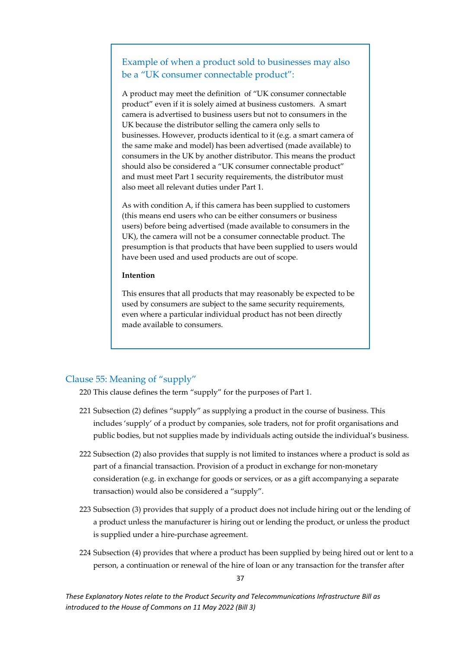### Example of when a product sold to businesses may also be a "UK consumer connectable product":

A product may meet the definition of "UK consumer connectable product" even if it is solely aimed at business customers. A smart camera is advertised to business users but not to consumers in the UK because the distributor selling the camera only sells to businesses. However, products identical to it (e.g. a smart camera of the same make and model) has been advertised (made available) to consumers in the UK by another distributor. This means the product should also be considered a "UK consumer connectable product" and must meet Part 1 security requirements, the distributor must also meet all relevant duties under Part 1.

As with condition A, if this camera has been supplied to customers (this means end users who can be either consumers or business users) before being advertised (made available to consumers in the UK), the camera will not be a consumer connectable product. The presumption is that products that have been supplied to users would have been used and used products are out of scope.

#### **Intention**

This ensures that all products that may reasonably be expected to be used by consumers are subject to the same security requirements, even where a particular individual product has not been directly made available to consumers.

#### <span id="page-37-0"></span>Clause 55: Meaning of "supply"

- 220 This clause defines the term "supply" for the purposes of Part 1.
- 221 Subsection (2) defines "supply" as supplying a product in the course of business. This includes 'supply' of a product by companies, sole traders, not for profit organisations and public bodies, but not supplies made by individuals acting outside the individual's business.
- 222 Subsection (2) also provides that supply is not limited to instances where a product is sold as part of a financial transaction. Provision of a product in exchange for non-monetary consideration (e.g. in exchange for goods or services, or as a gift accompanying a separate transaction) would also be considered a "supply".
- 223 Subsection (3) provides that supply of a product does not include hiring out or the lending of a product unless the manufacturer is hiring out or lending the product, or unless the product is supplied under a hire-purchase agreement.
- 224 Subsection (4) provides that where a product has been supplied by being hired out or lent to a person, a continuation or renewal of the hire of loan or any transaction for the transfer after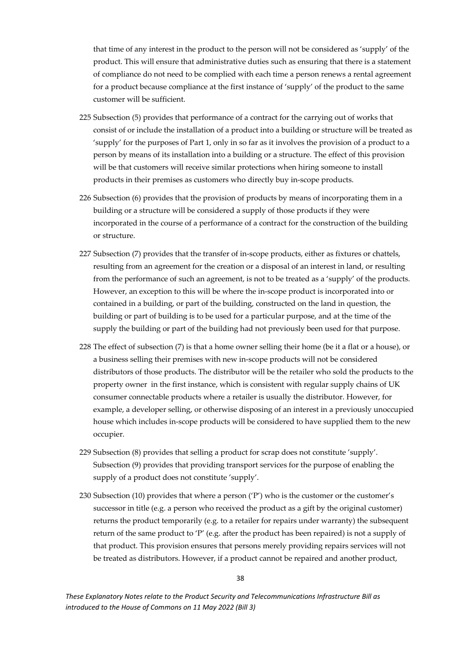that time of any interest in the product to the person will not be considered as 'supply' of the product. This will ensure that administrative duties such as ensuring that there is a statement of compliance do not need to be complied with each time a person renews a rental agreement for a product because compliance at the first instance of 'supply' of the product to the same customer will be sufficient.

- 225 Subsection (5) provides that performance of a contract for the carrying out of works that consist of or include the installation of a product into a building or structure will be treated as 'supply' for the purposes of Part 1, only in so far as it involves the provision of a product to a person by means of its installation into a building or a structure. The effect of this provision will be that customers will receive similar protections when hiring someone to install products in their premises as customers who directly buy in-scope products.
- 226 Subsection (6) provides that the provision of products by means of incorporating them in a building or a structure will be considered a supply of those products if they were incorporated in the course of a performance of a contract for the construction of the building or structure.
- 227 Subsection (7) provides that the transfer of in-scope products, either as fixtures or chattels, resulting from an agreement for the creation or a disposal of an interest in land, or resulting from the performance of such an agreement, is not to be treated as a 'supply' of the products. However, an exception to this will be where the in-scope product is incorporated into or contained in a building, or part of the building, constructed on the land in question, the building or part of building is to be used for a particular purpose, and at the time of the supply the building or part of the building had not previously been used for that purpose.
- 228 The effect of subsection (7) is that a home owner selling their home (be it a flat or a house), or a business selling their premises with new in-scope products will not be considered distributors of those products. The distributor will be the retailer who sold the products to the property owner in the first instance, which is consistent with regular supply chains of UK consumer connectable products where a retailer is usually the distributor. However, for example, a developer selling, or otherwise disposing of an interest in a previously unoccupied house which includes in-scope products will be considered to have supplied them to the new occupier.
- 229 Subsection (8) provides that selling a product for scrap does not constitute 'supply'. Subsection (9) provides that providing transport services for the purpose of enabling the supply of a product does not constitute 'supply'.
- 230 Subsection (10) provides that where a person  $('P')$  who is the customer or the customer's successor in title (e.g. a person who received the product as a gift by the original customer) returns the product temporarily (e.g. to a retailer for repairs under warranty) the subsequent return of the same product to 'P' (e.g. after the product has been repaired) is not a supply of that product. This provision ensures that persons merely providing repairs services will not be treated as distributors. However, if a product cannot be repaired and another product,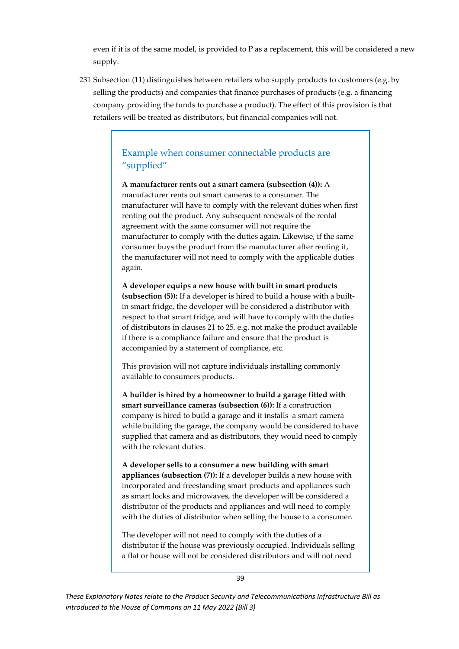even if it is of the same model, is provided to P as a replacement, this will be considered a new supply.

231 Subsection (11) distinguishes between retailers who supply products to customers (e.g. by selling the products) and companies that finance purchases of products (e.g. a financing company providing the funds to purchase a product). The effect of this provision is that retailers will be treated as distributors, but financial companies will not.

### Example when consumer connectable products are "supplied"

**A manufacturer rents out a smart camera (subsection (4)):** A manufacturer rents out smart cameras to a consumer. The manufacturer will have to comply with the relevant duties when first renting out the product. Any subsequent renewals of the rental agreement with the same consumer will not require the manufacturer to comply with the duties again. Likewise, if the same consumer buys the product from the manufacturer after renting it, the manufacturer will not need to comply with the applicable duties again.

**A developer equips a new house with built in smart products (subsection (5)):** If a developer is hired to build a house with a builtin smart fridge, the developer will be considered a distributor with respect to that smart fridge, and will have to comply with the duties of distributors in clauses 21 to 25, e.g. not make the product available if there is a compliance failure and ensure that the product is accompanied by a statement of compliance, etc.

This provision will not capture individuals installing commonly available to consumers products.

**A builder is hired by a homeowner to build a garage fitted with smart surveillance cameras (subsection (6)):** If a construction company is hired to build a garage and it installs a smart camera while building the garage, the company would be considered to have supplied that camera and as distributors, they would need to comply with the relevant duties.

**A developer sells to a consumer a new building with smart appliances (subsection (7)):** If a developer builds a new house with incorporated and freestanding smart products and appliances such as smart locks and microwaves, the developer will be considered a distributor of the products and appliances and will need to comply with the duties of distributor when selling the house to a consumer.

The developer will not need to comply with the duties of a distributor if the house was previously occupied. Individuals selling a flat or house will not be considered distributors and will not need

39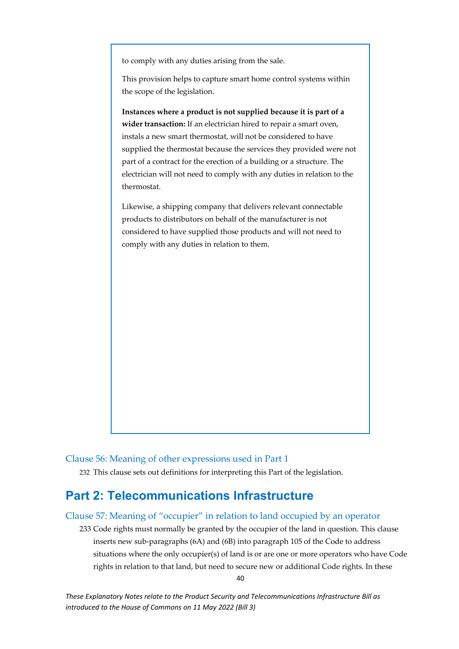to comply with any duties arising from the sale.

This provision helps to capture smart home control systems within the scope of the legislation.

**Instances where a product is not supplied because it is part of a wider transaction:** If an electrician hired to repair a smart oven, instals a new smart thermostat, will not be considered to have supplied the thermostat because the services they provided were not part of a contract for the erection of a building or a structure. The electrician will not need to comply with any duties in relation to the thermostat.

Likewise, a shipping company that delivers relevant connectable products to distributors on behalf of the manufacturer is not considered to have supplied those products and will not need to comply with any duties in relation to them.

<span id="page-40-0"></span>Clause 56: Meaning of other expressions used in Part 1

232 This clause sets out definitions for interpreting this Part of the legislation.

## <span id="page-40-1"></span>**Part 2: Telecommunications Infrastructure**

#### <span id="page-40-2"></span>Clause 57: Meaning of "occupier" in relation to land occupied by an operator

233 Code rights must normally be granted by the occupier of the land in question. This clause inserts new sub-paragraphs (6A) and (6B) into paragraph 105 of the Code to address situations where the only occupier(s) of land is or are one or more operators who have Code rights in relation to that land, but need to secure new or additional Code rights. In these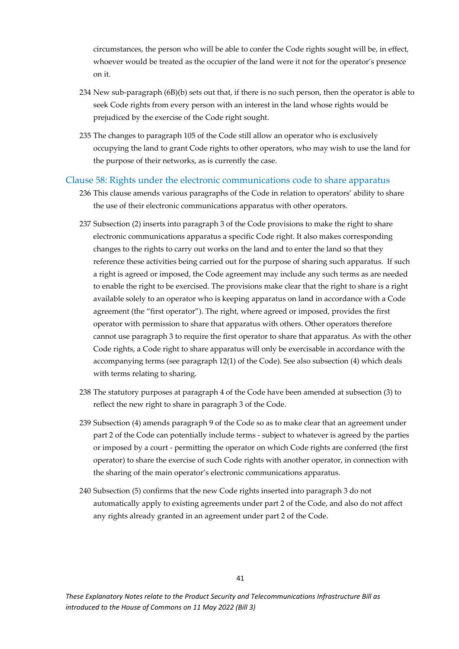circumstances, the person who will be able to confer the Code rights sought will be, in effect, whoever would be treated as the occupier of the land were it not for the operator's presence on it.

- 234 New sub-paragraph (6B)(b) sets out that, if there is no such person, then the operator is able to seek Code rights from every person with an interest in the land whose rights would be prejudiced by the exercise of the Code right sought.
- 235 The changes to paragraph 105 of the Code still allow an operator who is exclusively occupying the land to grant Code rights to other operators, who may wish to use the land for the purpose of their networks, as is currently the case.

#### <span id="page-41-0"></span>Clause 58: Rights under the electronic communications code to share apparatus

- 236 This clause amends various paragraphs of the Code in relation to operators' ability to share the use of their electronic communications apparatus with other operators.
- 237 Subsection (2) inserts into paragraph 3 of the Code provisions to make the right to share electronic communications apparatus a specific Code right. It also makes corresponding changes to the rights to carry out works on the land and to enter the land so that they reference these activities being carried out for the purpose of sharing such apparatus. If such a right is agreed or imposed, the Code agreement may include any such terms as are needed to enable the right to be exercised. The provisions make clear that the right to share is a right available solely to an operator who is keeping apparatus on land in accordance with a Code agreement (the "first operator"). The right, where agreed or imposed, provides the first operator with permission to share that apparatus with others. Other operators therefore cannot use paragraph 3 to require the first operator to share that apparatus. As with the other Code rights, a Code right to share apparatus will only be exercisable in accordance with the accompanying terms (see paragraph 12(1) of the Code). See also subsection (4) which deals with terms relating to sharing.
- 238 The statutory purposes at paragraph 4 of the Code have been amended at subsection (3) to reflect the new right to share in paragraph 3 of the Code.
- 239 Subsection (4) amends paragraph 9 of the Code so as to make clear that an agreement under part 2 of the Code can potentially include terms - subject to whatever is agreed by the parties or imposed by a court - permitting the operator on which Code rights are conferred (the first operator) to share the exercise of such Code rights with another operator, in connection with the sharing of the main operator's electronic communications apparatus.
- 240 Subsection (5) confirms that the new Code rights inserted into paragraph 3 do not automatically apply to existing agreements under part 2 of the Code, and also do not affect any rights already granted in an agreement under part 2 of the Code.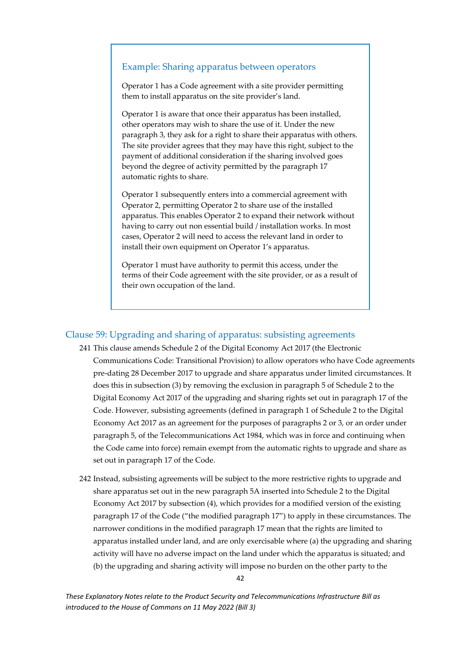#### Example: Sharing apparatus between operators

Operator 1 has a Code agreement with a site provider permitting them to install apparatus on the site provider's land.

Operator 1 is aware that once their apparatus has been installed, other operators may wish to share the use of it. Under the new paragraph 3, they ask for a right to share their apparatus with others. The site provider agrees that they may have this right, subject to the payment of additional consideration if the sharing involved goes beyond the degree of activity permitted by the paragraph 17 automatic rights to share.

Operator 1 subsequently enters into a commercial agreement with Operator 2, permitting Operator 2 to share use of the installed apparatus. This enables Operator 2 to expand their network without having to carry out non essential build / installation works. In most cases, Operator 2 will need to access the relevant land in order to install their own equipment on Operator 1's apparatus.

Operator 1 must have authority to permit this access, under the terms of their Code agreement with the site provider, or as a result of their own occupation of the land.

#### <span id="page-42-0"></span>Clause 59: Upgrading and sharing of apparatus: subsisting agreements

- 241 This clause amends Schedule 2 of the Digital Economy Act 2017 (the Electronic Communications Code: Transitional Provision) to allow operators who have Code agreements pre-dating 28 December 2017 to upgrade and share apparatus under limited circumstances. It does this in subsection (3) by removing the exclusion in paragraph 5 of Schedule 2 to the Digital Economy Act 2017 of the upgrading and sharing rights set out in paragraph 17 of the Code. However, subsisting agreements (defined in paragraph 1 of Schedule 2 to the Digital Economy Act 2017 as an agreement for the purposes of paragraphs 2 or 3, or an order under paragraph 5, of the Telecommunications Act 1984, which was in force and continuing when the Code came into force) remain exempt from the automatic rights to upgrade and share as set out in paragraph 17 of the Code.
- 242 Instead, subsisting agreements will be subject to the more restrictive rights to upgrade and share apparatus set out in the new paragraph 5A inserted into Schedule 2 to the Digital Economy Act 2017 by subsection (4), which provides for a modified version of the existing paragraph 17 of the Code ("the modified paragraph 17") to apply in these circumstances. The narrower conditions in the modified paragraph 17 mean that the rights are limited to apparatus installed under land, and are only exercisable where (a) the upgrading and sharing activity will have no adverse impact on the land under which the apparatus is situated; and (b) the upgrading and sharing activity will impose no burden on the other party to the

42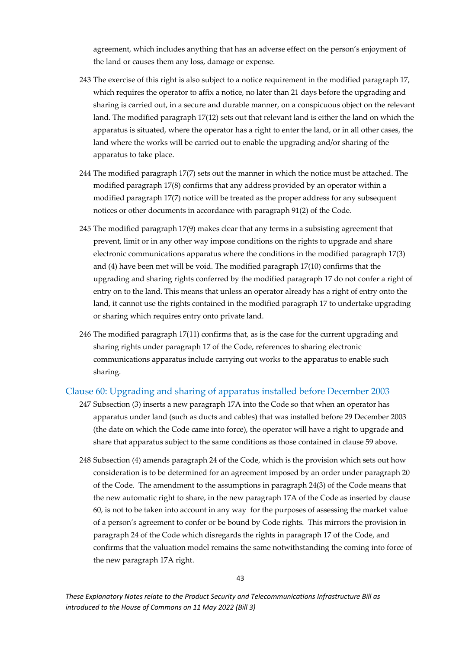agreement, which includes anything that has an adverse effect on the person's enjoyment of the land or causes them any loss, damage or expense.

- 243 The exercise of this right is also subject to a notice requirement in the modified paragraph 17, which requires the operator to affix a notice, no later than 21 days before the upgrading and sharing is carried out, in a secure and durable manner, on a conspicuous object on the relevant land. The modified paragraph 17(12) sets out that relevant land is either the land on which the apparatus is situated, where the operator has a right to enter the land, or in all other cases, the land where the works will be carried out to enable the upgrading and/or sharing of the apparatus to take place.
- 244 The modified paragraph 17(7) sets out the manner in which the notice must be attached. The modified paragraph 17(8) confirms that any address provided by an operator within a modified paragraph 17(7) notice will be treated as the proper address for any subsequent notices or other documents in accordance with paragraph 91(2) of the Code.
- 245 The modified paragraph 17(9) makes clear that any terms in a subsisting agreement that prevent, limit or in any other way impose conditions on the rights to upgrade and share electronic communications apparatus where the conditions in the modified paragraph 17(3) and (4) have been met will be void. The modified paragraph 17(10) confirms that the upgrading and sharing rights conferred by the modified paragraph 17 do not confer a right of entry on to the land. This means that unless an operator already has a right of entry onto the land, it cannot use the rights contained in the modified paragraph 17 to undertake upgrading or sharing which requires entry onto private land.
- 246 The modified paragraph 17(11) confirms that, as is the case for the current upgrading and sharing rights under paragraph 17 of the Code, references to sharing electronic communications apparatus include carrying out works to the apparatus to enable such sharing.

#### <span id="page-43-0"></span>Clause 60: Upgrading and sharing of apparatus installed before December 2003

- 247 Subsection (3) inserts a new paragraph 17A into the Code so that when an operator has apparatus under land (such as ducts and cables) that was installed before 29 December 2003 (the date on which the Code came into force), the operator will have a right to upgrade and share that apparatus subject to the same conditions as those contained in clause 59 above.
- 248 Subsection (4) amends paragraph 24 of the Code, which is the provision which sets out how consideration is to be determined for an agreement imposed by an order under paragraph 20 of the Code. The amendment to the assumptions in paragraph 24(3) of the Code means that the new automatic right to share, in the new paragraph 17A of the Code as inserted by clause 60, is not to be taken into account in any way for the purposes of assessing the market value of a person's agreement to confer or be bound by Code rights. This mirrors the provision in paragraph 24 of the Code which disregards the rights in paragraph 17 of the Code, and confirms that the valuation model remains the same notwithstanding the coming into force of the new paragraph 17A right.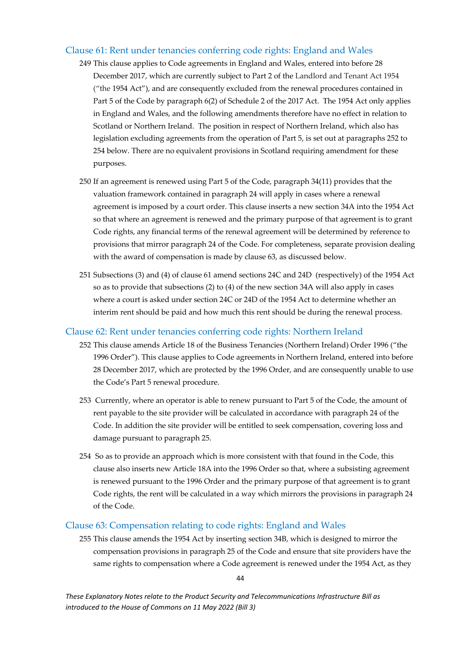#### <span id="page-44-0"></span>Clause 61: Rent under tenancies conferring code rights: England and Wales

- 249 This clause applies to Code agreements in England and Wales, entered into before 28 December 2017, which are currently subject to Part 2 of the Landlord and Tenant Act 1954 ("the 1954 Act"), and are consequently excluded from the renewal procedures contained in Part 5 of the Code by paragraph 6(2) of Schedule 2 of the 2017 Act. The 1954 Act only applies in England and Wales, and the following amendments therefore have no effect in relation to Scotland or Northern Ireland. The position in respect of Northern Ireland, which also has legislation excluding agreements from the operation of Part 5, is set out at paragraphs 252 to 254 below. There are no equivalent provisions in Scotland requiring amendment for these purposes.
- 250 If an agreement is renewed using Part 5 of the Code, paragraph 34(11) provides that the valuation framework contained in paragraph 24 will apply in cases where a renewal agreement is imposed by a court order. This clause inserts a new section 34A into the 1954 Act so that where an agreement is renewed and the primary purpose of that agreement is to grant Code rights, any financial terms of the renewal agreement will be determined by reference to provisions that mirror paragraph 24 of the Code. For completeness, separate provision dealing with the award of compensation is made by clause 63, as discussed below.
- 251 Subsections (3) and (4) of clause 61 amend sections 24C and 24D (respectively) of the 1954 Act so as to provide that subsections (2) to (4) of the new section 34A will also apply in cases where a court is asked under section 24C or 24D of the 1954 Act to determine whether an interim rent should be paid and how much this rent should be during the renewal process.

#### <span id="page-44-1"></span>Clause 62: Rent under tenancies conferring code rights: Northern Ireland

- 252 This clause amends Article 18 of the Business Tenancies (Northern Ireland) Order 1996 ("the 1996 Order"). This clause applies to Code agreements in Northern Ireland, entered into before 28 December 2017, which are protected by the 1996 Order, and are consequently unable to use the Code's Part 5 renewal procedure.
- 253 Currently, where an operator is able to renew pursuant to Part 5 of the Code, the amount of rent payable to the site provider will be calculated in accordance with paragraph 24 of the Code. In addition the site provider will be entitled to seek compensation, covering loss and damage pursuant to paragraph 25.
- 254 So as to provide an approach which is more consistent with that found in the Code, this clause also inserts new Article 18A into the 1996 Order so that, where a subsisting agreement is renewed pursuant to the 1996 Order and the primary purpose of that agreement is to grant Code rights, the rent will be calculated in a way which mirrors the provisions in paragraph 24 of the Code.

#### <span id="page-44-2"></span>Clause 63: Compensation relating to code rights: England and Wales

255 This clause amends the 1954 Act by inserting section 34B, which is designed to mirror the compensation provisions in paragraph 25 of the Code and ensure that site providers have the same rights to compensation where a Code agreement is renewed under the 1954 Act, as they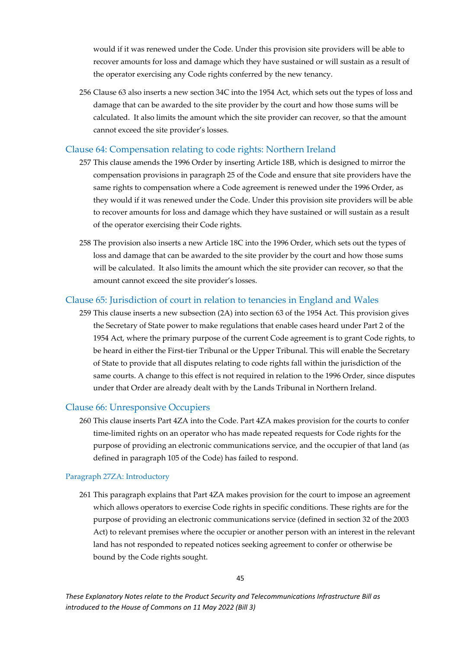would if it was renewed under the Code. Under this provision site providers will be able to recover amounts for loss and damage which they have sustained or will sustain as a result of the operator exercising any Code rights conferred by the new tenancy.

256 Clause 63 also inserts a new section 34C into the 1954 Act, which sets out the types of loss and damage that can be awarded to the site provider by the court and how those sums will be calculated. It also limits the amount which the site provider can recover, so that the amount cannot exceed the site provider's losses.

#### <span id="page-45-0"></span>Clause 64: Compensation relating to code rights: Northern Ireland

- 257 This clause amends the 1996 Order by inserting Article 18B, which is designed to mirror the compensation provisions in paragraph 25 of the Code and ensure that site providers have the same rights to compensation where a Code agreement is renewed under the 1996 Order, as they would if it was renewed under the Code. Under this provision site providers will be able to recover amounts for loss and damage which they have sustained or will sustain as a result of the operator exercising their Code rights.
- 258 The provision also inserts a new Article 18C into the 1996 Order, which sets out the types of loss and damage that can be awarded to the site provider by the court and how those sums will be calculated. It also limits the amount which the site provider can recover, so that the amount cannot exceed the site provider's losses.

#### <span id="page-45-1"></span>Clause 65: Jurisdiction of court in relation to tenancies in England and Wales

259 This clause inserts a new subsection (2A) into section 63 of the 1954 Act. This provision gives the Secretary of State power to make regulations that enable cases heard under Part 2 of the 1954 Act, where the primary purpose of the current Code agreement is to grant Code rights, to be heard in either the First-tier Tribunal or the Upper Tribunal. This will enable the Secretary of State to provide that all disputes relating to code rights fall within the jurisdiction of the same courts. A change to this effect is not required in relation to the 1996 Order, since disputes under that Order are already dealt with by the Lands Tribunal in Northern Ireland.

#### <span id="page-45-2"></span>Clause 66: Unresponsive Occupiers

260 This clause inserts Part 4ZA into the Code. Part 4ZA makes provision for the courts to confer time-limited rights on an operator who has made repeated requests for Code rights for the purpose of providing an electronic communications service, and the occupier of that land (as defined in paragraph 105 of the Code) has failed to respond.

#### Paragraph 27ZA: Introductory

261 This paragraph explains that Part 4ZA makes provision for the court to impose an agreement which allows operators to exercise Code rights in specific conditions. These rights are for the purpose of providing an electronic communications service (defined in section 32 of the 2003 Act) to relevant premises where the occupier or another person with an interest in the relevant land has not responded to repeated notices seeking agreement to confer or otherwise be bound by the Code rights sought.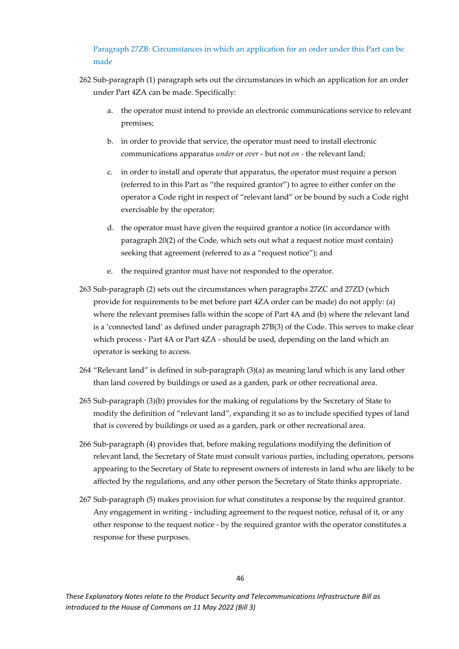#### Paragraph 27ZB: Circumstances in which an application for an order under this Part can be made

- 262 Sub-paragraph (1) paragraph sets out the circumstances in which an application for an order under Part 4ZA can be made. Specifically:
	- a. the operator must intend to provide an electronic communications service to relevant premises;
	- b. in order to provide that service, the operator must need to install electronic communications apparatus *under* or *over* - but not *on -* the relevant land;
	- c. in order to install and operate that apparatus, the operator must require a person (referred to in this Part as "the required grantor") to agree to either confer on the operator a Code right in respect of "relevant land" or be bound by such a Code right exercisable by the operator;
	- d. the operator must have given the required grantor a notice (in accordance with paragraph 20(2) of the Code, which sets out what a request notice must contain) seeking that agreement (referred to as a "request notice"); and
	- e. the required grantor must have not responded to the operator.
- 263 Sub-paragraph (2) sets out the circumstances when paragraphs 27ZC and 27ZD (which provide for requirements to be met before part 4ZA order can be made) do not apply: (a) where the relevant premises falls within the scope of Part 4A and (b) where the relevant land is a 'connected land' as defined under paragraph 27B(3) of the Code. This serves to make clear which process - Part 4A or Part 4ZA - should be used, depending on the land which an operator is seeking to access.
- 264 "Relevant land" is defined in sub-paragraph (3)(a) as meaning land which is any land other than land covered by buildings or used as a garden, park or other recreational area.
- 265 Sub-paragraph (3)(b) provides for the making of regulations by the Secretary of State to modify the definition of "relevant land", expanding it so as to include specified types of land that is covered by buildings or used as a garden, park or other recreational area.
- 266 Sub-paragraph (4) provides that, before making regulations modifying the definition of relevant land, the Secretary of State must consult various parties, including operators, persons appearing to the Secretary of State to represent owners of interests in land who are likely to be affected by the regulations, and any other person the Secretary of State thinks appropriate.
- 267 Sub-paragraph (5) makes provision for what constitutes a response by the required grantor. Any engagement in writing - including agreement to the request notice, refusal of it, or any other response to the request notice - by the required grantor with the operator constitutes a response for these purposes.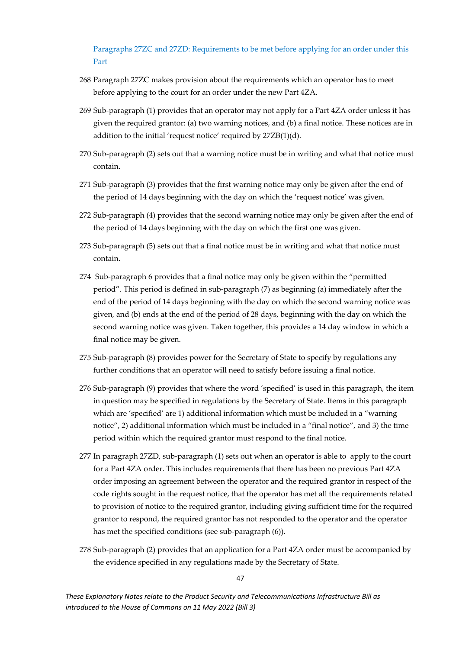Paragraphs 27ZC and 27ZD: Requirements to be met before applying for an order under this Part

- 268 Paragraph 27ZC makes provision about the requirements which an operator has to meet before applying to the court for an order under the new Part 4ZA.
- 269 Sub-paragraph (1) provides that an operator may not apply for a Part 4ZA order unless it has given the required grantor: (a) two warning notices, and (b) a final notice. These notices are in addition to the initial 'request notice' required by 27ZB(1)(d).
- 270 Sub-paragraph (2) sets out that a warning notice must be in writing and what that notice must contain.
- 271 Sub-paragraph (3) provides that the first warning notice may only be given after the end of the period of 14 days beginning with the day on which the 'request notice' was given.
- 272 Sub-paragraph (4) provides that the second warning notice may only be given after the end of the period of 14 days beginning with the day on which the first one was given.
- 273 Sub-paragraph (5) sets out that a final notice must be in writing and what that notice must contain.
- 274 Sub-paragraph 6 provides that a final notice may only be given within the "permitted period". This period is defined in sub-paragraph (7) as beginning (a) immediately after the end of the period of 14 days beginning with the day on which the second warning notice was given, and (b) ends at the end of the period of 28 days, beginning with the day on which the second warning notice was given. Taken together, this provides a 14 day window in which a final notice may be given.
- 275 Sub-paragraph (8) provides power for the Secretary of State to specify by regulations any further conditions that an operator will need to satisfy before issuing a final notice.
- 276 Sub-paragraph (9) provides that where the word 'specified' is used in this paragraph, the item in question may be specified in regulations by the Secretary of State. Items in this paragraph which are 'specified' are 1) additional information which must be included in a "warning notice", 2) additional information which must be included in a "final notice", and 3) the time period within which the required grantor must respond to the final notice.
- 277 In paragraph 27ZD, sub-paragraph (1) sets out when an operator is able to apply to the court for a Part 4ZA order. This includes requirements that there has been no previous Part 4ZA order imposing an agreement between the operator and the required grantor in respect of the code rights sought in the request notice, that the operator has met all the requirements related to provision of notice to the required grantor, including giving sufficient time for the required grantor to respond, the required grantor has not responded to the operator and the operator has met the specified conditions (see sub-paragraph (6)).
- 278 Sub-paragraph (2) provides that an application for a Part 4ZA order must be accompanied by the evidence specified in any regulations made by the Secretary of State.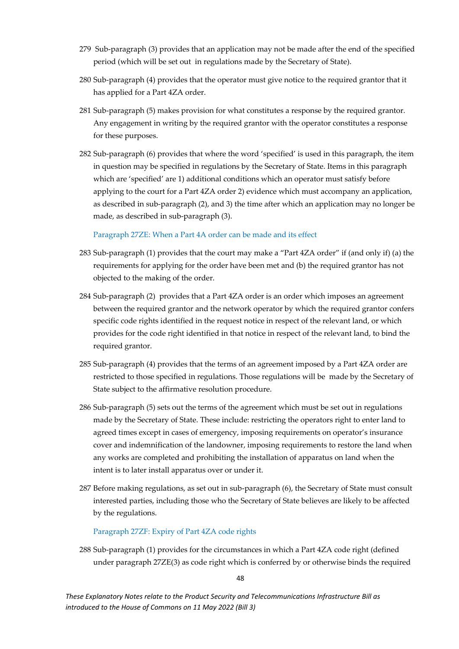- 279 Sub-paragraph (3) provides that an application may not be made after the end of the specified period (which will be set out in regulations made by the Secretary of State).
- 280 Sub-paragraph (4) provides that the operator must give notice to the required grantor that it has applied for a Part 4ZA order.
- 281 Sub-paragraph (5) makes provision for what constitutes a response by the required grantor. Any engagement in writing by the required grantor with the operator constitutes a response for these purposes.
- 282 Sub-paragraph (6) provides that where the word 'specified' is used in this paragraph, the item in question may be specified in regulations by the Secretary of State. Items in this paragraph which are 'specified' are 1) additional conditions which an operator must satisfy before applying to the court for a Part 4ZA order 2) evidence which must accompany an application, as described in sub-paragraph (2), and 3) the time after which an application may no longer be made, as described in sub-paragraph (3).

Paragraph 27ZE: When a Part 4A order can be made and its effect

- 283 Sub-paragraph (1) provides that the court may make a "Part 4ZA order" if (and only if) (a) the requirements for applying for the order have been met and (b) the required grantor has not objected to the making of the order.
- 284 Sub-paragraph (2) provides that a Part 4ZA order is an order which imposes an agreement between the required grantor and the network operator by which the required grantor confers specific code rights identified in the request notice in respect of the relevant land, or which provides for the code right identified in that notice in respect of the relevant land, to bind the required grantor.
- 285 Sub-paragraph (4) provides that the terms of an agreement imposed by a Part 4ZA order are restricted to those specified in regulations. Those regulations will be made by the Secretary of State subject to the affirmative resolution procedure.
- 286 Sub-paragraph (5) sets out the terms of the agreement which must be set out in regulations made by the Secretary of State. These include: restricting the operators right to enter land to agreed times except in cases of emergency, imposing requirements on operator's insurance cover and indemnification of the landowner, imposing requirements to restore the land when any works are completed and prohibiting the installation of apparatus on land when the intent is to later install apparatus over or under it.
- 287 Before making regulations, as set out in sub-paragraph (6), the Secretary of State must consult interested parties, including those who the Secretary of State believes are likely to be affected by the regulations.

#### Paragraph 27ZF: Expiry of Part 4ZA code rights

288 Sub-paragraph (1) provides for the circumstances in which a Part 4ZA code right (defined under paragraph 27ZE(3) as code right which is conferred by or otherwise binds the required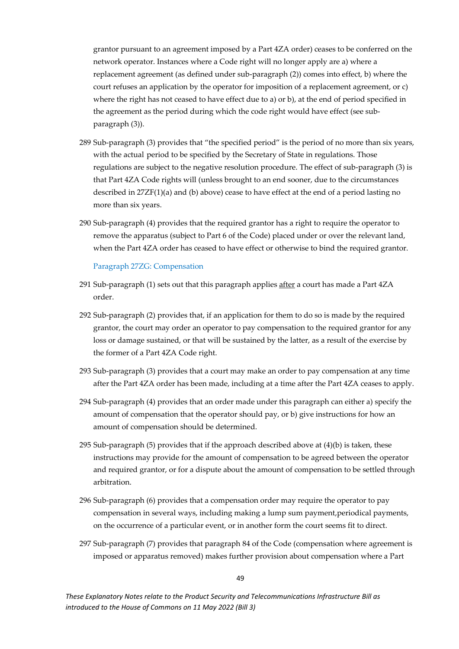grantor pursuant to an agreement imposed by a Part 4ZA order) ceases to be conferred on the network operator. Instances where a Code right will no longer apply are a) where a replacement agreement (as defined under sub-paragraph (2)) comes into effect, b) where the court refuses an application by the operator for imposition of a replacement agreement, or c) where the right has not ceased to have effect due to a) or b), at the end of period specified in the agreement as the period during which the code right would have effect (see subparagraph (3)).

- 289 Sub-paragraph (3) provides that "the specified period" is the period of no more than six years, with the actual period to be specified by the Secretary of State in regulations. Those regulations are subject to the negative resolution procedure. The effect of sub-paragraph (3) is that Part 4ZA Code rights will (unless brought to an end sooner, due to the circumstances described in  $27ZF(1)(a)$  and (b) above) cease to have effect at the end of a period lasting no more than six years.
- 290 Sub-paragraph (4) provides that the required grantor has a right to require the operator to remove the apparatus (subject to Part 6 of the Code) placed under or over the relevant land, when the Part 4ZA order has ceased to have effect or otherwise to bind the required grantor.

#### Paragraph 27ZG: Compensation

- 291 Sub-paragraph  $(1)$  sets out that this paragraph applies  $\frac{\text{after}}{\text{after}}$  a court has made a Part  $4ZA$ order.
- 292 Sub-paragraph (2) provides that, if an application for them to do so is made by the required grantor, the court may order an operator to pay compensation to the required grantor for any loss or damage sustained, or that will be sustained by the latter, as a result of the exercise by the former of a Part 4ZA Code right.
- 293 Sub-paragraph (3) provides that a court may make an order to pay compensation at any time after the Part 4ZA order has been made, including at a time after the Part 4ZA ceases to apply.
- 294 Sub-paragraph (4) provides that an order made under this paragraph can either a) specify the amount of compensation that the operator should pay, or b) give instructions for how an amount of compensation should be determined.
- 295 Sub-paragraph (5) provides that if the approach described above at (4)(b) is taken, these instructions may provide for the amount of compensation to be agreed between the operator and required grantor, or for a dispute about the amount of compensation to be settled through arbitration.
- 296 Sub-paragraph (6) provides that a compensation order may require the operator to pay compensation in several ways, including making a lump sum payment,periodical payments, on the occurrence of a particular event, or in another form the court seems fit to direct.
- 297 Sub-paragraph (7) provides that paragraph 84 of the Code (compensation where agreement is imposed or apparatus removed) makes further provision about compensation where a Part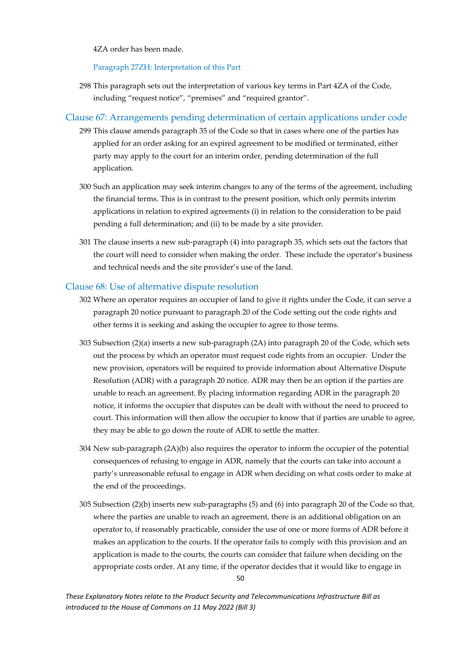4ZA order has been made.

Paragraph 27ZH: Interpretation of this Part

298 This paragraph sets out the interpretation of various key terms in Part 4ZA of the Code, including "request notice", "premises" and "required grantor".

### <span id="page-50-0"></span>Clause 67: Arrangements pending determination of certain applications under code

- 299 This clause amends paragraph 35 of the Code so that in cases where one of the parties has applied for an order asking for an expired agreement to be modified or terminated, either party may apply to the court for an interim order, pending determination of the full application.
- 300 Such an application may seek interim changes to any of the terms of the agreement, including the financial terms. This is in contrast to the present position, which only permits interim applications in relation to expired agreements (i) in relation to the consideration to be paid pending a full determination; and (ii) to be made by a site provider.
- 301 The clause inserts a new sub-paragraph (4) into paragraph 35, which sets out the factors that the court will need to consider when making the order. These include the operator's business and technical needs and the site provider's use of the land.

#### <span id="page-50-1"></span>Clause 68: Use of alternative dispute resolution

- 302 Where an operator requires an occupier of land to give it rights under the Code, it can serve a paragraph 20 notice pursuant to paragraph 20 of the Code setting out the code rights and other terms it is seeking and asking the occupier to agree to those terms.
- 303 Subsection (2)(a) inserts a new sub-paragraph (2A) into paragraph 20 of the Code, which sets out the process by which an operator must request code rights from an occupier. Under the new provision, operators will be required to provide information about Alternative Dispute Resolution (ADR) with a paragraph 20 notice. ADR may then be an option if the parties are unable to reach an agreement. By placing information regarding ADR in the paragraph 20 notice, it informs the occupier that disputes can be dealt with without the need to proceed to court. This information will then allow the occupier to know that if parties are unable to agree, they may be able to go down the route of ADR to settle the matter.
- 304 New sub-paragraph (2A)(b) also requires the operator to inform the occupier of the potential consequences of refusing to engage in ADR, namely that the courts can take into account a party's unreasonable refusal to engage in ADR when deciding on what costs order to make at the end of the proceedings.
- 305 Subsection (2)(b) inserts new sub-paragraphs (5) and (6) into paragraph 20 of the Code so that, where the parties are unable to reach an agreement, there is an additional obligation on an operator to, if reasonably practicable, consider the use of one or more forms of ADR before it makes an application to the courts. If the operator fails to comply with this provision and an application is made to the courts, the courts can consider that failure when deciding on the appropriate costs order. At any time, if the operator decides that it would like to engage in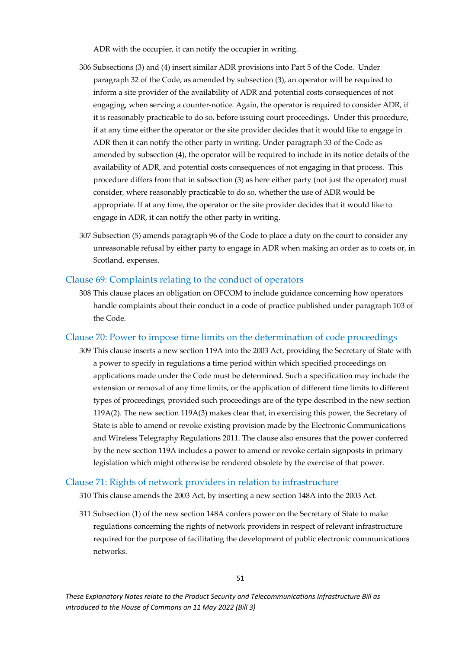ADR with the occupier, it can notify the occupier in writing.

- 306 Subsections (3) and (4) insert similar ADR provisions into Part 5 of the Code. Under paragraph 32 of the Code, as amended by subsection (3), an operator will be required to inform a site provider of the availability of ADR and potential costs consequences of not engaging, when serving a counter-notice. Again, the operator is required to consider ADR, if it is reasonably practicable to do so, before issuing court proceedings. Under this procedure, if at any time either the operator or the site provider decides that it would like to engage in ADR then it can notify the other party in writing. Under paragraph 33 of the Code as amended by subsection (4), the operator will be required to include in its notice details of the availability of ADR, and potential costs consequences of not engaging in that process. This procedure differs from that in subsection (3) as here either party (not just the operator) must consider, where reasonably practicable to do so, whether the use of ADR would be appropriate. If at any time, the operator or the site provider decides that it would like to engage in ADR, it can notify the other party in writing.
- 307 Subsection (5) amends paragraph 96 of the Code to place a duty on the court to consider any unreasonable refusal by either party to engage in ADR when making an order as to costs or, in Scotland, expenses.

#### <span id="page-51-0"></span>Clause 69: Complaints relating to the conduct of operators

308 This clause places an obligation on OFCOM to include guidance concerning how operators handle complaints about their conduct in a code of practice published under paragraph 103 of the Code.

#### <span id="page-51-1"></span>Clause 70: Power to impose time limits on the determination of code proceedings

309 This clause inserts a new section 119A into the 2003 Act, providing the Secretary of State with a power to specify in regulations a time period within which specified proceedings on applications made under the Code must be determined. Such a specification may include the extension or removal of any time limits, or the application of different time limits to different types of proceedings, provided such proceedings are of the type described in the new section 119A(2). The new section 119A(3) makes clear that, in exercising this power, the Secretary of State is able to amend or revoke existing provision made by the Electronic Communications and Wireless Telegraphy Regulations 2011. The clause also ensures that the power conferred by the new section 119A includes a power to amend or revoke certain signposts in primary legislation which might otherwise be rendered obsolete by the exercise of that power.

#### <span id="page-51-2"></span>Clause 71: Rights of network providers in relation to infrastructure

- 310 This clause amends the 2003 Act, by inserting a new section 148A into the 2003 Act.
- 311 Subsection (1) of the new section 148A confers power on the Secretary of State to make regulations concerning the rights of network providers in respect of relevant infrastructure required for the purpose of facilitating the development of public electronic communications networks.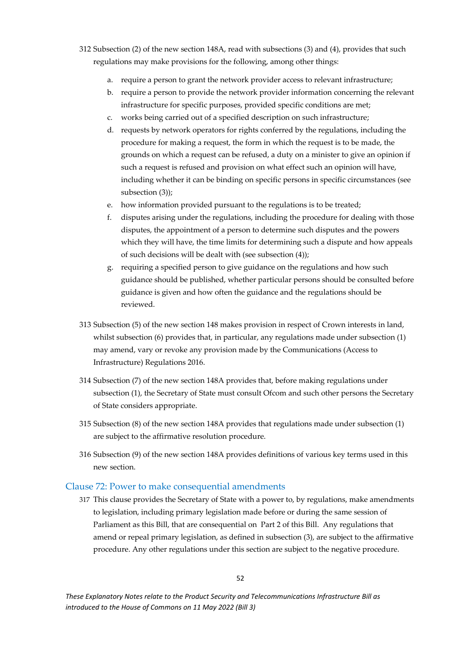- 312 Subsection (2) of the new section 148A, read with subsections (3) and (4), provides that such regulations may make provisions for the following, among other things:
	- a. require a person to grant the network provider access to relevant infrastructure;
	- b. require a person to provide the network provider information concerning the relevant infrastructure for specific purposes, provided specific conditions are met;
	- c. works being carried out of a specified description on such infrastructure;
	- d. requests by network operators for rights conferred by the regulations, including the procedure for making a request, the form in which the request is to be made, the grounds on which a request can be refused, a duty on a minister to give an opinion if such a request is refused and provision on what effect such an opinion will have, including whether it can be binding on specific persons in specific circumstances (see subsection (3));
	- e. how information provided pursuant to the regulations is to be treated;
	- f. disputes arising under the regulations, including the procedure for dealing with those disputes, the appointment of a person to determine such disputes and the powers which they will have, the time limits for determining such a dispute and how appeals of such decisions will be dealt with (see subsection (4));
	- g. requiring a specified person to give guidance on the regulations and how such guidance should be published, whether particular persons should be consulted before guidance is given and how often the guidance and the regulations should be reviewed.
- 313 Subsection (5) of the new section 148 makes provision in respect of Crown interests in land, whilst subsection (6) provides that, in particular, any regulations made under subsection (1) may amend, vary or revoke any provision made by the Communications (Access to Infrastructure) Regulations 2016.
- 314 Subsection (7) of the new section 148A provides that, before making regulations under subsection (1), the Secretary of State must consult Ofcom and such other persons the Secretary of State considers appropriate.
- 315 Subsection (8) of the new section 148A provides that regulations made under subsection (1) are subject to the affirmative resolution procedure.
- 316 Subsection (9) of the new section 148A provides definitions of various key terms used in this new section.

#### <span id="page-52-0"></span>Clause 72: Power to make consequential amendments

317 This clause provides the Secretary of State with a power to, by regulations, make amendments to legislation, including primary legislation made before or during the same session of Parliament as this Bill, that are consequential on Part 2 of this Bill. Any regulations that amend or repeal primary legislation, as defined in subsection (3), are subject to the affirmative procedure. Any other regulations under this section are subject to the negative procedure.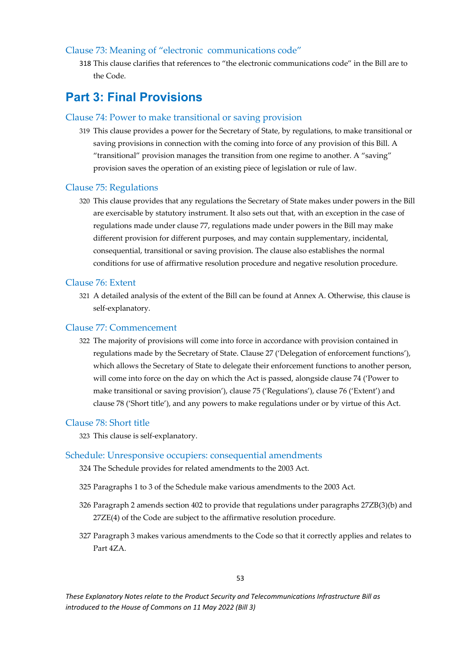#### <span id="page-53-0"></span>Clause 73: Meaning of "electronic communications code"

318 This clause clarifies that references to "the electronic communications code" in the Bill are to the Code.

### <span id="page-53-1"></span>**Part 3: Final Provisions**

#### <span id="page-53-2"></span>Clause 74: Power to make transitional or saving provision

319 This clause provides a power for the Secretary of State, by regulations, to make transitional or saving provisions in connection with the coming into force of any provision of this Bill. A "transitional" provision manages the transition from one regime to another. A "saving" provision saves the operation of an existing piece of legislation or rule of law.

#### <span id="page-53-3"></span>Clause 75: Regulations

320 This clause provides that any regulations the Secretary of State makes under powers in the Bill are exercisable by statutory instrument. It also sets out that, with an exception in the case of regulations made under clause 77, regulations made under powers in the Bill may make different provision for different purposes, and may contain supplementary, incidental, consequential, transitional or saving provision. The clause also establishes the normal conditions for use of affirmative resolution procedure and negative resolution procedure.

#### <span id="page-53-4"></span>Clause 76: Extent

321 A detailed analysis of the extent of the Bill can be found at Annex A. Otherwise, this clause is self-explanatory.

#### <span id="page-53-5"></span>Clause 77: Commencement

322 The majority of provisions will come into force in accordance with provision contained in regulations made by the Secretary of State. Clause 27 ('Delegation of enforcement functions'), which allows the Secretary of State to delegate their enforcement functions to another person, will come into force on the day on which the Act is passed, alongside clause 74 ('Power to make transitional or saving provision'), clause 75 ('Regulations'), clause 76 ('Extent') and clause 78 ('Short title'), and any powers to make regulations under or by virtue of this Act.

#### <span id="page-53-6"></span>Clause 78: Short title

323 This clause is self-explanatory.

#### <span id="page-53-7"></span>Schedule: Unresponsive occupiers: consequential amendments

- 324 The Schedule provides for related amendments to the 2003 Act.
- 325 Paragraphs 1 to 3 of the Schedule make various amendments to the 2003 Act.
- 326 Paragraph 2 amends section 402 to provide that regulations under paragraphs 27ZB(3)(b) and 27ZE(4) of the Code are subject to the affirmative resolution procedure.
- 327 Paragraph 3 makes various amendments to the Code so that it correctly applies and relates to Part 4ZA.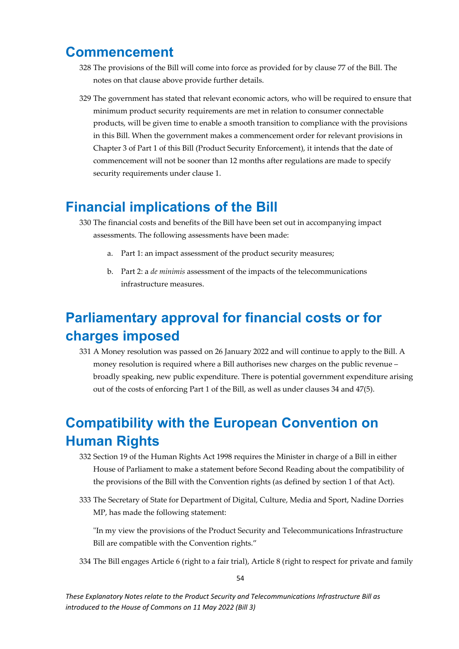## <span id="page-54-0"></span>**Commencement**

- 328 The provisions of the Bill will come into force as provided for by clause 77 of the Bill. The notes on that clause above provide further details.
- 329 The government has stated that relevant economic actors, who will be required to ensure that minimum product security requirements are met in relation to consumer connectable products, will be given time to enable a smooth transition to compliance with the provisions in this Bill. When the government makes a commencement order for relevant provisions in Chapter 3 of Part 1 of this Bill (Product Security Enforcement), it intends that the date of commencement will not be sooner than 12 months after regulations are made to specify security requirements under clause 1.

## <span id="page-54-1"></span>**Financial implications of the Bill**

- 330 The financial costs and benefits of the Bill have been set out in accompanying impact assessments. The following assessments have been made:
	- a. Part 1: an impact assessment of the product security measures;
	- b. Part 2: a *de minimis* assessment of the impacts of the telecommunications infrastructure measures.

## <span id="page-54-2"></span>**Parliamentary approval for financial costs or for charges imposed**

331 A Money resolution was passed on 26 January 2022 and will continue to apply to the Bill. A money resolution is required where a Bill authorises new charges on the public revenue – broadly speaking, new public expenditure. There is potential government expenditure arising out of the costs of enforcing Part 1 of the Bill, as well as under clauses 34 and 47(5).

## <span id="page-54-3"></span>**Compatibility with the European Convention on Human Rights**

- 332 Section 19 of the Human Rights Act 1998 requires the Minister in charge of a Bill in either House of Parliament to make a statement before Second Reading about the compatibility of the provisions of the Bill with the Convention rights (as defined by section 1 of that Act).
- 333 The Secretary of State for Department of Digital, Culture, Media and Sport, Nadine Dorries MP, has made the following statement:

ʺIn my view the provisions of the Product Security and Telecommunications Infrastructure Bill are compatible with the Convention rights."

334 The Bill engages Article 6 (right to a fair trial), Article 8 (right to respect for private and family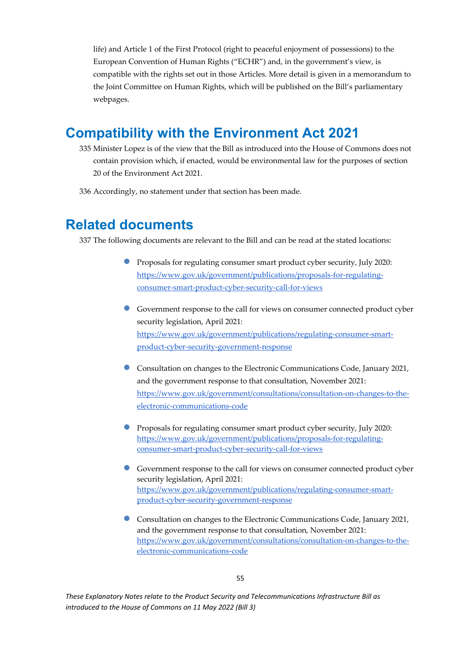life) and Article 1 of the First Protocol (right to peaceful enjoyment of possessions) to the European Convention of Human Rights ("ECHR") and, in the government's view, is compatible with the rights set out in those Articles. More detail is given in a memorandum to the Joint Committee on Human Rights, which will be published on the Bill's parliamentary webpages.

## <span id="page-55-0"></span>**Compatibility with the Environment Act 2021**

- 335 Minister Lopez is of the view that the Bill as introduced into the House of Commons does not contain provision which, if enacted, would be environmental law for the purposes of section 20 of the Environment Act 2021.
- <span id="page-55-1"></span>336 Accordingly, no statement under that section has been made.

## **Related documents**

337 The following documents are relevant to the Bill and can be read at the stated locations:

- Proposals for regulating consumer smart product cyber security, July 2020: [https://www.gov.uk/government/publications/proposals-for-regulating](https://www.gov.uk/government/publications/proposals-for-regulating-consumer-smart-product-cyber-security-call-for-views)[consumer-smart-product-cyber-security-call-for-views](https://www.gov.uk/government/publications/proposals-for-regulating-consumer-smart-product-cyber-security-call-for-views)
- Government response to the call for views on consumer connected product cyber security legislation, April 2021: [https://www.gov.uk/government/publications/regulating-consumer-smart](https://www.gov.uk/government/publications/regulating-consumer-smart-product-cyber-security-government-response)[product-cyber-security-government-response](https://www.gov.uk/government/publications/regulating-consumer-smart-product-cyber-security-government-response)
- Consultation on changes to the Electronic Communications Code, January 2021, and the government response to that consultation, November 2021: [https://www.gov.uk/government/consultations/consultation-on-changes-to-the](https://www.gov.uk/government/consultations/consultation-on-changes-to-the-electronic-communications-code)[electronic-communications-code](https://www.gov.uk/government/consultations/consultation-on-changes-to-the-electronic-communications-code)
- Proposals for regulating consumer smart product cyber security, July 2020: [https://www.gov.uk/government/publications/proposals-for-regulating](https://www.gov.uk/government/publications/proposals-for-regulating-consumer-smart-product-cyber-security-call-for-views)[consumer-smart-product-cyber-security-call-for-views](https://www.gov.uk/government/publications/proposals-for-regulating-consumer-smart-product-cyber-security-call-for-views)
- Government response to the call for views on consumer connected product cyber security legislation, April 2021: [https://www.gov.uk/government/publications/regulating-consumer-smart](https://www.gov.uk/government/publications/regulating-consumer-smart-product-cyber-security-government-response)[product-cyber-security-government-response](https://www.gov.uk/government/publications/regulating-consumer-smart-product-cyber-security-government-response)
- Consultation on changes to the Electronic Communications Code, January 2021, and the government response to that consultation, November 2021: [https://www.gov.uk/government/consultations/consultation-on-changes-to-the](https://www.gov.uk/government/consultations/consultation-on-changes-to-the-electronic-communications-code)[electronic-communications-code](https://www.gov.uk/government/consultations/consultation-on-changes-to-the-electronic-communications-code)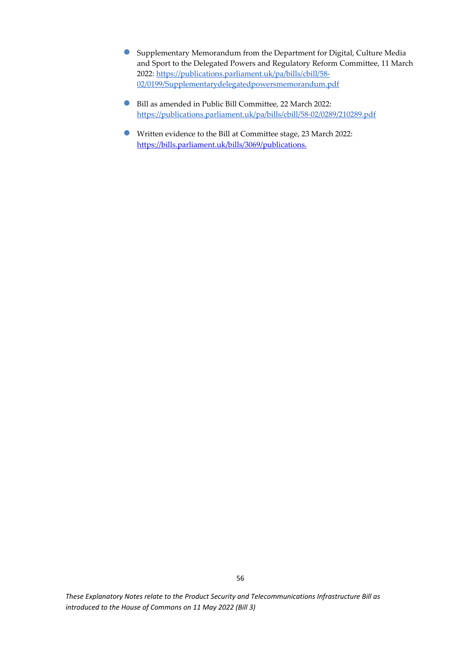- Supplementary Memorandum from the Department for Digital, Culture Media and Sport to the Delegated Powers and Regulatory Reform Committee, 11 March 2022[: https://publications.parliament.uk/pa/bills/cbill/58-](https://publications.parliament.uk/pa/bills/cbill/58-02/0199/Supplementarydelegatedpowersmemorandum.pdf) [02/0199/Supplementarydelegatedpowersmemorandum.pdf](https://publications.parliament.uk/pa/bills/cbill/58-02/0199/Supplementarydelegatedpowersmemorandum.pdf)
- Bill as amended in Public Bill Committee, 22 March 2022: <https://publications.parliament.uk/pa/bills/cbill/58-02/0289/210289.pdf>
- Written evidence to the Bill at Committee stage, 23 March 2022: [https://bills.parliament.uk/bills/3069/publications.](https://bills.parliament.uk/bills/3069/publications)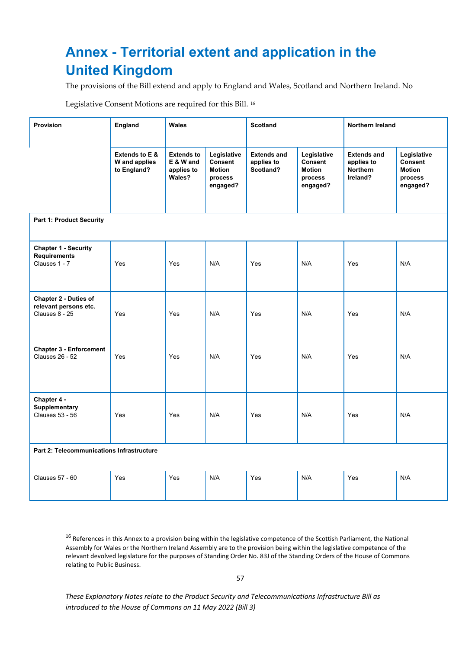## <span id="page-57-0"></span>**Annex - Territorial extent and application in the United Kingdom**

The provisions of the Bill extend and apply to England and Wales, Scotland and Northern Ireland. No

Legislative Consent Motions are required for this Bill. [16](#page-57-1)

| <b>Provision</b>                                                    | <b>England</b>                                 | <b>Wales</b>                                           |                                                                | <b>Scotland</b>                               |                                                                | Northern Ireland                                                |                                                                |  |
|---------------------------------------------------------------------|------------------------------------------------|--------------------------------------------------------|----------------------------------------------------------------|-----------------------------------------------|----------------------------------------------------------------|-----------------------------------------------------------------|----------------------------------------------------------------|--|
|                                                                     | Extends to E &<br>W and applies<br>to England? | <b>Extends to</b><br>E & W and<br>applies to<br>Wales? | Legislative<br>Consent<br><b>Motion</b><br>process<br>engaged? | <b>Extends and</b><br>applies to<br>Scotland? | Legislative<br>Consent<br><b>Motion</b><br>process<br>engaged? | <b>Extends and</b><br>applies to<br><b>Northern</b><br>Ireland? | Legislative<br>Consent<br><b>Motion</b><br>process<br>engaged? |  |
| <b>Part 1: Product Security</b>                                     |                                                |                                                        |                                                                |                                               |                                                                |                                                                 |                                                                |  |
| <b>Chapter 1 - Security</b><br><b>Requirements</b><br>Clauses 1 - 7 | Yes                                            | Yes                                                    | N/A                                                            | Yes                                           | N/A                                                            | Yes                                                             | N/A                                                            |  |
| Chapter 2 - Duties of<br>relevant persons etc.<br>Clauses 8 - 25    | Yes                                            | Yes                                                    | N/A                                                            | Yes                                           | N/A                                                            | Yes                                                             | N/A                                                            |  |
| <b>Chapter 3 - Enforcement</b><br><b>Clauses 26 - 52</b>            | Yes                                            | Yes                                                    | N/A                                                            | Yes                                           | N/A                                                            | Yes                                                             | N/A                                                            |  |
| Chapter 4 -<br>Supplementary<br><b>Clauses 53 - 56</b>              | Yes                                            | Yes                                                    | N/A                                                            | Yes                                           | N/A                                                            | Yes                                                             | N/A                                                            |  |
| Part 2: Telecommunications Infrastructure                           |                                                |                                                        |                                                                |                                               |                                                                |                                                                 |                                                                |  |
| <b>Clauses 57 - 60</b>                                              | Yes                                            | Yes                                                    | N/A                                                            | Yes                                           | N/A                                                            | Yes                                                             | N/A                                                            |  |

<span id="page-57-1"></span><sup>&</sup>lt;sup>16</sup> References in this Annex to a provision being within the legislative competence of the Scottish Parliament, the National Assembly for Wales or the Northern Ireland Assembly are to the provision being within the legislative competence of the relevant devolved legislature for the purposes of Standing Order No. 83J of the Standing Orders of the House of Commons relating to Public Business.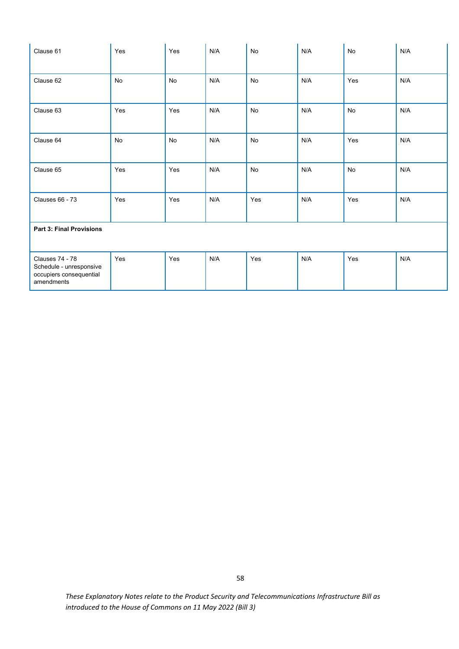| Clause 61                                                                           | Yes       | Yes       | N/A | No        | N/A | No        | N/A |
|-------------------------------------------------------------------------------------|-----------|-----------|-----|-----------|-----|-----------|-----|
| Clause 62                                                                           | <b>No</b> | <b>No</b> | N/A | No        | N/A | Yes       | N/A |
| Clause 63                                                                           | Yes       | Yes       | N/A | <b>No</b> | N/A | <b>No</b> | N/A |
| Clause 64                                                                           | <b>No</b> | No        | N/A | <b>No</b> | N/A | Yes       | N/A |
| Clause 65                                                                           | Yes       | Yes       | N/A | <b>No</b> | N/A | <b>No</b> | N/A |
| <b>Clauses 66 - 73</b>                                                              | Yes       | Yes       | N/A | Yes       | N/A | Yes       | N/A |
| <b>Part 3: Final Provisions</b>                                                     |           |           |     |           |     |           |     |
| Clauses 74 - 78<br>Schedule - unresponsive<br>occupiers consequential<br>amendments | Yes       | Yes       | N/A | Yes       | N/A | Yes       | N/A |